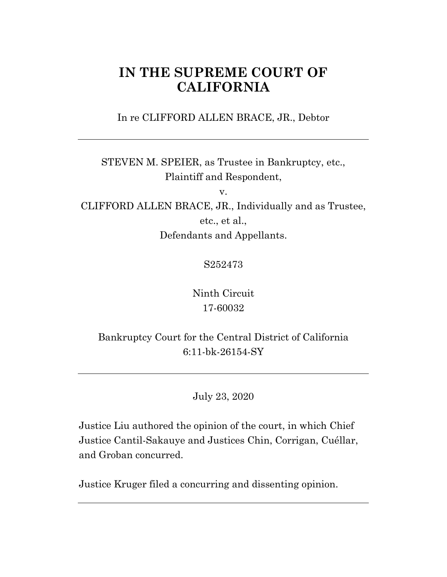# **IN THE SUPREME COURT OF CALIFORNIA**

In re CLIFFORD ALLEN BRACE, JR., Debtor

STEVEN M. SPEIER, as Trustee in Bankruptcy, etc., Plaintiff and Respondent,

v.

CLIFFORD ALLEN BRACE, JR., Individually and as Trustee, etc., et al., Defendants and Appellants.

S252473

Ninth Circuit 17-60032

Bankruptcy Court for the Central District of California 6:11-bk-26154-SY

July 23, 2020

Justice Liu authored the opinion of the court, in which Chief Justice Cantil-Sakauye and Justices Chin, Corrigan, Cuéllar, and Groban concurred.

Justice Kruger filed a concurring and dissenting opinion.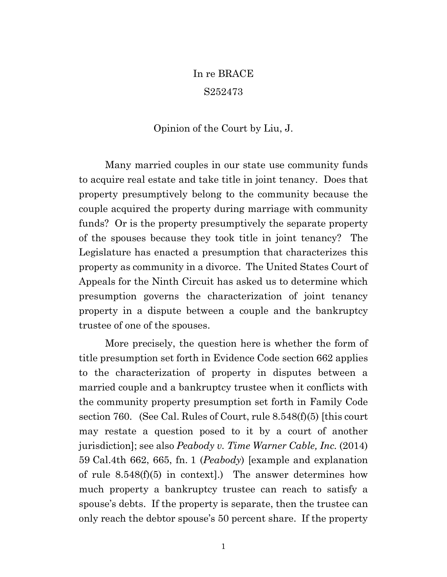# In re BRACE S252473

# Opinion of the Court by Liu, J.

Many married couples in our state use community funds to acquire real estate and take title in joint tenancy. Does that property presumptively belong to the community because the couple acquired the property during marriage with community funds? Or is the property presumptively the separate property of the spouses because they took title in joint tenancy? The Legislature has enacted a presumption that characterizes this property as community in a divorce. The United States Court of Appeals for the Ninth Circuit has asked us to determine which presumption governs the characterization of joint tenancy property in a dispute between a couple and the bankruptcy trustee of one of the spouses.

More precisely, the question here is whether the form of title presumption set forth in Evidence Code section 662 applies to the characterization of property in disputes between a married couple and a bankruptcy trustee when it conflicts with the community property presumption set forth in Family Code section 760. (See Cal. Rules of Court, rule 8.548(f)(5) [this court may restate a question posed to it by a court of another jurisdiction]; see also *Peabody v. Time Warner Cable, Inc.* (2014) 59 Cal.4th 662, 665, fn. 1 (*Peabody*) [example and explanation of rule  $8.548(f)(5)$  in context].) The answer determines how much property a bankruptcy trustee can reach to satisfy a spouse's debts. If the property is separate, then the trustee can only reach the debtor spouse's 50 percent share. If the property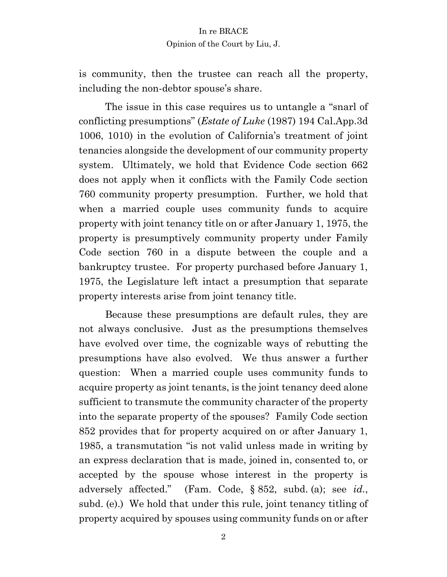is community, then the trustee can reach all the property, including the non-debtor spouse's share.

The issue in this case requires us to untangle a "snarl of conflicting presumptions" (*Estate of Luke* (1987) 194 Cal.App.3d 1006, 1010) in the evolution of California's treatment of joint tenancies alongside the development of our community property system. Ultimately, we hold that Evidence Code section 662 does not apply when it conflicts with the Family Code section 760 community property presumption. Further, we hold that when a married couple uses community funds to acquire property with joint tenancy title on or after January 1, 1975, the property is presumptively community property under Family Code section 760 in a dispute between the couple and a bankruptcy trustee. For property purchased before January 1, 1975, the Legislature left intact a presumption that separate property interests arise from joint tenancy title.

Because these presumptions are default rules, they are not always conclusive. Just as the presumptions themselves have evolved over time, the cognizable ways of rebutting the presumptions have also evolved. We thus answer a further question: When a married couple uses community funds to acquire property as joint tenants, is the joint tenancy deed alone sufficient to transmute the community character of the property into the separate property of the spouses? Family Code section 852 provides that for property acquired on or after January 1, 1985, a transmutation "is not valid unless made in writing by an express declaration that is made, joined in, consented to, or accepted by the spouse whose interest in the property is adversely affected." (Fam. Code, § 852, subd. (a); see *id.*, subd. (e).) We hold that under this rule, joint tenancy titling of property acquired by spouses using community funds on or after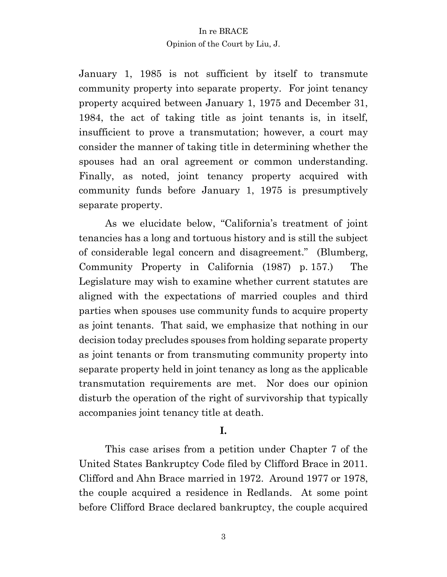January 1, 1985 is not sufficient by itself to transmute community property into separate property. For joint tenancy property acquired between January 1, 1975 and December 31, 1984, the act of taking title as joint tenants is, in itself, insufficient to prove a transmutation; however, a court may consider the manner of taking title in determining whether the spouses had an oral agreement or common understanding. Finally, as noted, joint tenancy property acquired with community funds before January 1, 1975 is presumptively separate property.

As we elucidate below, "California's treatment of joint tenancies has a long and tortuous history and is still the subject of considerable legal concern and disagreement." (Blumberg, Community Property in California (1987) p. 157.) The Legislature may wish to examine whether current statutes are aligned with the expectations of married couples and third parties when spouses use community funds to acquire property as joint tenants. That said, we emphasize that nothing in our decision today precludes spouses from holding separate property as joint tenants or from transmuting community property into separate property held in joint tenancy as long as the applicable transmutation requirements are met. Nor does our opinion disturb the operation of the right of survivorship that typically accompanies joint tenancy title at death.

# **I.**

This case arises from a petition under Chapter 7 of the United States Bankruptcy Code filed by Clifford Brace in 2011. Clifford and Ahn Brace married in 1972. Around 1977 or 1978, the couple acquired a residence in Redlands. At some point before Clifford Brace declared bankruptcy, the couple acquired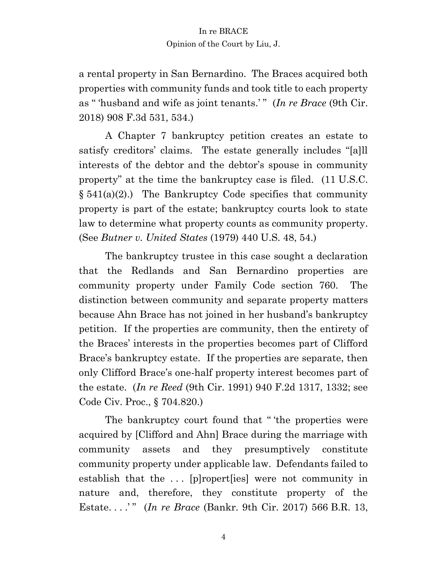a rental property in San Bernardino. The Braces acquired both properties with community funds and took title to each property as " 'husband and wife as joint tenants.' " (*In re Brace* (9th Cir. 2018) 908 F.3d 531, 534.)

A Chapter 7 bankruptcy petition creates an estate to satisfy creditors' claims. The estate generally includes "[a]ll interests of the debtor and the debtor's spouse in community property" at the time the bankruptcy case is filed. (11 U.S.C.  $§ 541(a)(2)$ .) The Bankruptcy Code specifies that community property is part of the estate; bankruptcy courts look to state law to determine what property counts as community property. (See *Butner v. United States* (1979) 440 U.S. 48, 54.)

The bankruptcy trustee in this case sought a declaration that the Redlands and San Bernardino properties are community property under Family Code section 760. The distinction between community and separate property matters because Ahn Brace has not joined in her husband's bankruptcy petition. If the properties are community, then the entirety of the Braces' interests in the properties becomes part of Clifford Brace's bankruptcy estate. If the properties are separate, then only Clifford Brace's one-half property interest becomes part of the estate. (*In re Reed* (9th Cir. 1991) 940 F.2d 1317, 1332; see Code Civ. Proc., § 704.820.)

The bankruptcy court found that " 'the properties were acquired by [Clifford and Ahn] Brace during the marriage with community assets and they presumptively constitute community property under applicable law. Defendants failed to establish that the ... [p]ropert[ies] were not community in nature and, therefore, they constitute property of the Estate. . . .' " (*In re Brace* (Bankr. 9th Cir. 2017) 566 B.R. 13,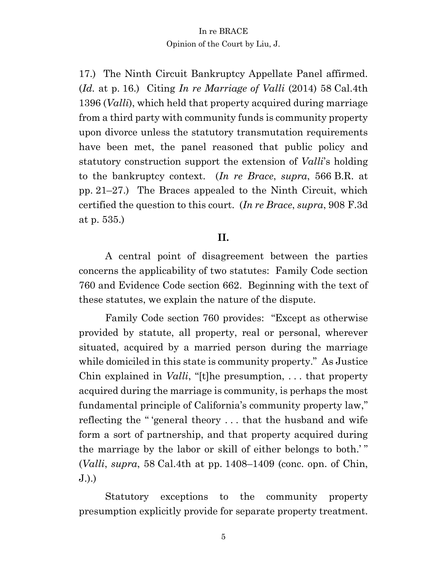17.) The Ninth Circuit Bankruptcy Appellate Panel affirmed. (*Id.* at p. 16.) Citing *In re Marriage of Valli* (2014) 58 Cal.4th 1396 (*Valli*), which held that property acquired during marriage from a third party with community funds is community property upon divorce unless the statutory transmutation requirements have been met, the panel reasoned that public policy and statutory construction support the extension of *Valli*'s holding to the bankruptcy context. (*In re Brace*, *supra*, 566 B.R. at pp. 21–27.) The Braces appealed to the Ninth Circuit, which certified the question to this court. (*In re Brace*, *supra*, 908 F.3d at p. 535.)

# **II.**

A central point of disagreement between the parties concerns the applicability of two statutes: Family Code section 760 and Evidence Code section 662. Beginning with the text of these statutes, we explain the nature of the dispute.

Family Code section 760 provides: "Except as otherwise provided by statute, all property, real or personal, wherever situated, acquired by a married person during the marriage while domiciled in this state is community property." As Justice Chin explained in *Valli*, "[t]he presumption, . . . that property acquired during the marriage is community, is perhaps the most fundamental principle of California's community property law," reflecting the " 'general theory . . . that the husband and wife form a sort of partnership, and that property acquired during the marriage by the labor or skill of either belongs to both.' " (*Valli*, *supra*, 58 Cal.4th at pp. 1408–1409 (conc. opn. of Chin, J.).)

Statutory exceptions to the community property presumption explicitly provide for separate property treatment.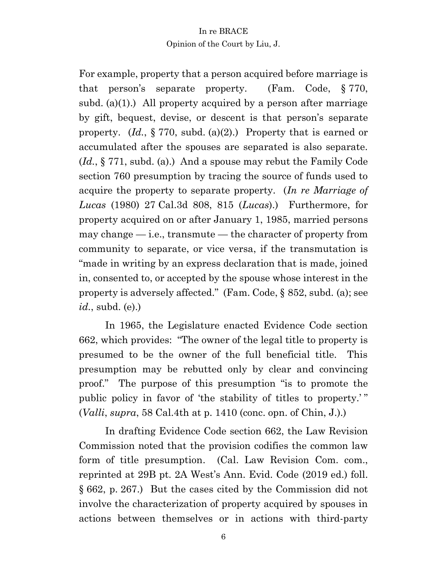For example, property that a person acquired before marriage is that person's separate property. (Fam. Code, § 770, subd. (a)(1).) All property acquired by a person after marriage by gift, bequest, devise, or descent is that person's separate property. (*Id.*, § 770, subd. (a)(2).) Property that is earned or accumulated after the spouses are separated is also separate. (*Id.*, § 771, subd. (a).) And a spouse may rebut the Family Code section 760 presumption by tracing the source of funds used to acquire the property to separate property. (*In re Marriage of Lucas* (1980) 27 Cal.3d 808, 815 (*Lucas*).) Furthermore, for property acquired on or after January 1, 1985, married persons may change  $-$  i.e., transmute  $-$  the character of property from community to separate, or vice versa, if the transmutation is "made in writing by an express declaration that is made, joined in, consented to, or accepted by the spouse whose interest in the property is adversely affected." (Fam. Code, § 852, subd. (a); see *id.*, subd. (e).)

In 1965, the Legislature enacted Evidence Code section 662, which provides: "The owner of the legal title to property is presumed to be the owner of the full beneficial title. This presumption may be rebutted only by clear and convincing proof." The purpose of this presumption "is to promote the public policy in favor of 'the stability of titles to property.' " (*Valli*, *supra*, 58 Cal.4th at p. 1410 (conc. opn. of Chin, J.).)

In drafting Evidence Code section 662, the Law Revision Commission noted that the provision codifies the common law form of title presumption. (Cal. Law Revision Com. com., reprinted at 29B pt. 2A West's Ann. Evid. Code (2019 ed.) foll. § 662, p. 267.) But the cases cited by the Commission did not involve the characterization of property acquired by spouses in actions between themselves or in actions with third-party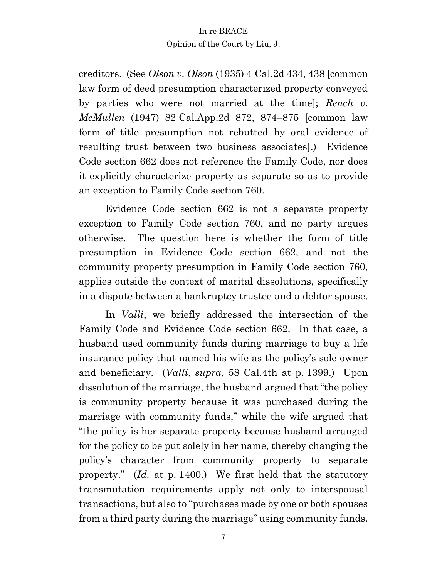creditors. (See *Olson v. Olson* (1935) 4 Cal.2d 434, 438 [common law form of deed presumption characterized property conveyed by parties who were not married at the time]; *Rench v. McMullen* (1947) 82 Cal.App.2d 872, 874–875 [common law form of title presumption not rebutted by oral evidence of resulting trust between two business associates].) Evidence Code section 662 does not reference the Family Code, nor does it explicitly characterize property as separate so as to provide an exception to Family Code section 760.

Evidence Code section 662 is not a separate property exception to Family Code section 760, and no party argues otherwise. The question here is whether the form of title presumption in Evidence Code section 662, and not the community property presumption in Family Code section 760, applies outside the context of marital dissolutions, specifically in a dispute between a bankruptcy trustee and a debtor spouse.

In *Valli*, we briefly addressed the intersection of the Family Code and Evidence Code section 662. In that case, a husband used community funds during marriage to buy a life insurance policy that named his wife as the policy's sole owner and beneficiary. (*Valli*, *supra*, 58 Cal.4th at p. 1399.) Upon dissolution of the marriage, the husband argued that "the policy is community property because it was purchased during the marriage with community funds," while the wife argued that "the policy is her separate property because husband arranged for the policy to be put solely in her name, thereby changing the policy's character from community property to separate property." (*Id.* at p. 1400.) We first held that the statutory transmutation requirements apply not only to interspousal transactions, but also to "purchases made by one or both spouses from a third party during the marriage" using community funds.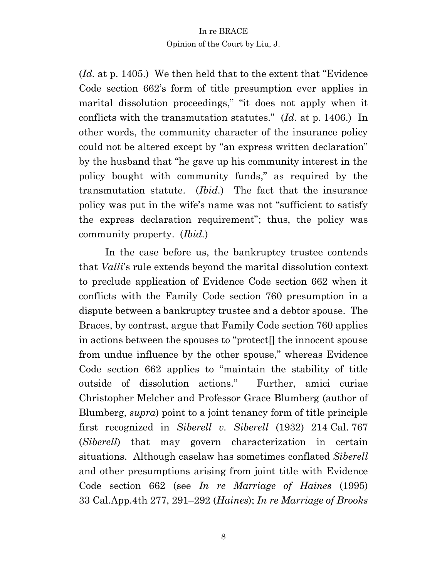(*Id.* at p. 1405.) We then held that to the extent that "Evidence Code section 662's form of title presumption ever applies in marital dissolution proceedings," "it does not apply when it conflicts with the transmutation statutes." (*Id.* at p. 1406.) In other words, the community character of the insurance policy could not be altered except by "an express written declaration" by the husband that "he gave up his community interest in the policy bought with community funds," as required by the transmutation statute. (*Ibid.*) The fact that the insurance policy was put in the wife's name was not "sufficient to satisfy the express declaration requirement"; thus, the policy was community property. (*Ibid.*)

In the case before us, the bankruptcy trustee contends that *Valli*'s rule extends beyond the marital dissolution context to preclude application of Evidence Code section 662 when it conflicts with the Family Code section 760 presumption in a dispute between a bankruptcy trustee and a debtor spouse. The Braces, by contrast, argue that Family Code section 760 applies in actions between the spouses to "protect[] the innocent spouse from undue influence by the other spouse," whereas Evidence Code section 662 applies to "maintain the stability of title outside of dissolution actions." Further, amici curiae Christopher Melcher and Professor Grace Blumberg (author of Blumberg, *supra*) point to a joint tenancy form of title principle first recognized in *Siberell v. Siberell* (1932) 214 Cal. 767 (*Siberell*) that may govern characterization in certain situations. Although caselaw has sometimes conflated *Siberell* and other presumptions arising from joint title with Evidence Code section 662 (see *In re Marriage of Haines* (1995) 33 Cal.App.4th 277, 291–292 (*Haines*); *In re Marriage of Brooks*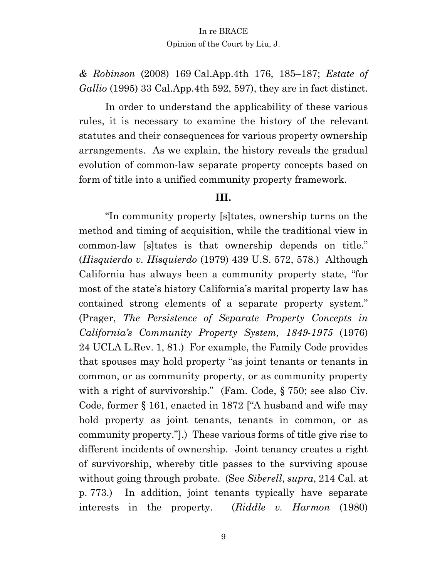*& Robinson* (2008) 169 Cal.App.4th 176, 185–187; *Estate of Gallio* (1995) 33 Cal.App.4th 592, 597), they are in fact distinct.

In order to understand the applicability of these various rules, it is necessary to examine the history of the relevant statutes and their consequences for various property ownership arrangements. As we explain, the history reveals the gradual evolution of common-law separate property concepts based on form of title into a unified community property framework.

# **III.**

"In community property [s]tates, ownership turns on the method and timing of acquisition, while the traditional view in common-law [s]tates is that ownership depends on title." (*Hisquierdo v. Hisquierdo* (1979) 439 U.S. 572, 578.) Although California has always been a community property state, "for most of the state's history California's marital property law has contained strong elements of a separate property system." (Prager, *The Persistence of Separate Property Concepts in California's Community Property System, 1849-1975* (1976) 24 UCLA L.Rev. 1, 81.) For example, the Family Code provides that spouses may hold property "as joint tenants or tenants in common, or as community property, or as community property with a right of survivorship." (Fam. Code, § 750; see also Civ. Code, former § 161, enacted in 1872 ["A husband and wife may hold property as joint tenants, tenants in common, or as community property."].) These various forms of title give rise to different incidents of ownership. Joint tenancy creates a right of survivorship, whereby title passes to the surviving spouse without going through probate. (See *Siberell*, *supra*, 214 Cal. at p. 773.) In addition, joint tenants typically have separate interests in the property. (*Riddle v. Harmon* (1980)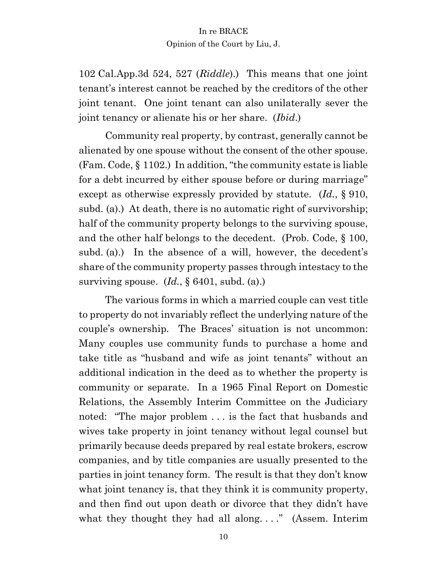102 Cal.App.3d 524, 527 (*Riddle*).) This means that one joint tenant's interest cannot be reached by the creditors of the other joint tenant. One joint tenant can also unilaterally sever the joint tenancy or alienate his or her share. (*Ibid*.)

Community real property, by contrast, generally cannot be alienated by one spouse without the consent of the other spouse. (Fam. Code, § 1102.) In addition, "the community estate is liable for a debt incurred by either spouse before or during marriage" except as otherwise expressly provided by statute. (*Id.*, § 910, subd. (a).) At death, there is no automatic right of survivorship; half of the community property belongs to the surviving spouse, and the other half belongs to the decedent. (Prob. Code, § 100, subd. (a).) In the absence of a will, however, the decedent's share of the community property passes through intestacy to the surviving spouse. (*Id.*, § 6401, subd. (a).)

The various forms in which a married couple can vest title to property do not invariably reflect the underlying nature of the couple's ownership. The Braces' situation is not uncommon: Many couples use community funds to purchase a home and take title as "husband and wife as joint tenants" without an additional indication in the deed as to whether the property is community or separate. In a 1965 Final Report on Domestic Relations, the Assembly Interim Committee on the Judiciary noted: "The major problem . . . is the fact that husbands and wives take property in joint tenancy without legal counsel but primarily because deeds prepared by real estate brokers, escrow companies, and by title companies are usually presented to the parties in joint tenancy form. The result is that they don't know what joint tenancy is, that they think it is community property, and then find out upon death or divorce that they didn't have what they thought they had all along...." (Assem. Interim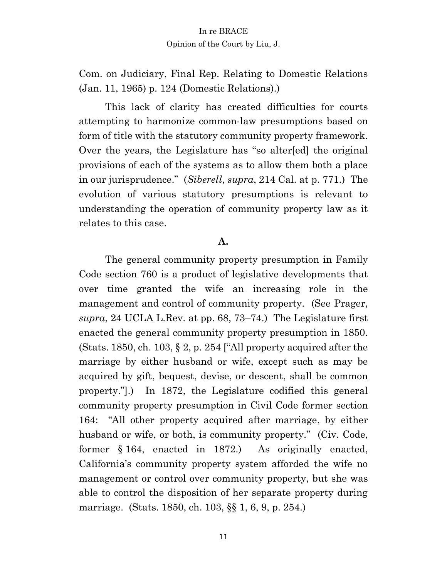Com. on Judiciary, Final Rep. Relating to Domestic Relations (Jan. 11, 1965) p. 124 (Domestic Relations).)

This lack of clarity has created difficulties for courts attempting to harmonize common-law presumptions based on form of title with the statutory community property framework. Over the years, the Legislature has "so alter[ed] the original provisions of each of the systems as to allow them both a place in our jurisprudence." (*Siberell*, *supra*, 214 Cal. at p. 771.) The evolution of various statutory presumptions is relevant to understanding the operation of community property law as it relates to this case.

#### **A.**

The general community property presumption in Family Code section 760 is a product of legislative developments that over time granted the wife an increasing role in the management and control of community property. (See Prager, *supra*, 24 UCLA L.Rev. at pp. 68, 73–74.) The Legislature first enacted the general community property presumption in 1850. (Stats. 1850, ch. 103,  $\S 2$ , p. 254 ["All property acquired after the marriage by either husband or wife, except such as may be acquired by gift, bequest, devise, or descent, shall be common property."].) In 1872, the Legislature codified this general community property presumption in Civil Code former section 164: "All other property acquired after marriage, by either husband or wife, or both, is community property." (Civ. Code, former § 164, enacted in 1872.) As originally enacted, California's community property system afforded the wife no management or control over community property, but she was able to control the disposition of her separate property during marriage. (Stats. 1850, ch. 103, §§ 1, 6, 9, p. 254.)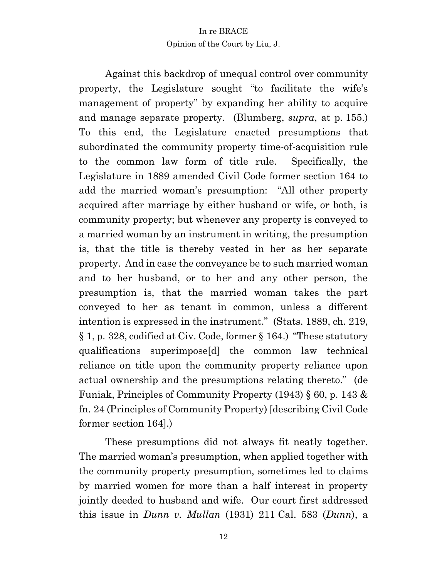Against this backdrop of unequal control over community property, the Legislature sought "to facilitate the wife's management of property" by expanding her ability to acquire and manage separate property. (Blumberg, *supra*, at p. 155.) To this end, the Legislature enacted presumptions that subordinated the community property time-of-acquisition rule to the common law form of title rule. Specifically, the Legislature in 1889 amended Civil Code former section 164 to add the married woman's presumption: "All other property acquired after marriage by either husband or wife, or both, is community property; but whenever any property is conveyed to a married woman by an instrument in writing, the presumption is, that the title is thereby vested in her as her separate property. And in case the conveyance be to such married woman and to her husband, or to her and any other person, the presumption is, that the married woman takes the part conveyed to her as tenant in common, unless a different intention is expressed in the instrument." (Stats. 1889, ch. 219, § 1, p. 328, codified at Civ. Code, former § 164.) "These statutory qualifications superimpose[d] the common law technical reliance on title upon the community property reliance upon actual ownership and the presumptions relating thereto." (de Funiak, Principles of Community Property (1943) § 60, p. 143 & fn. 24 (Principles of Community Property) [describing Civil Code former section 164].)

These presumptions did not always fit neatly together. The married woman's presumption, when applied together with the community property presumption, sometimes led to claims by married women for more than a half interest in property jointly deeded to husband and wife. Our court first addressed this issue in *Dunn v. Mullan* (1931) 211 Cal. 583 (*Dunn*), a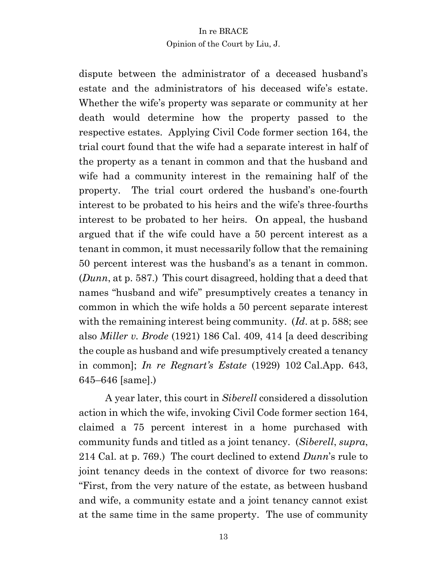dispute between the administrator of a deceased husband's estate and the administrators of his deceased wife's estate. Whether the wife's property was separate or community at her death would determine how the property passed to the respective estates. Applying Civil Code former section 164, the trial court found that the wife had a separate interest in half of the property as a tenant in common and that the husband and wife had a community interest in the remaining half of the property. The trial court ordered the husband's one-fourth interest to be probated to his heirs and the wife's three-fourths interest to be probated to her heirs. On appeal, the husband argued that if the wife could have a 50 percent interest as a tenant in common, it must necessarily follow that the remaining 50 percent interest was the husband's as a tenant in common. (*Dunn*, at p. 587.) This court disagreed, holding that a deed that names "husband and wife" presumptively creates a tenancy in common in which the wife holds a 50 percent separate interest with the remaining interest being community. (*Id*. at p. 588; see also *Miller v. Brode* (1921) 186 Cal. 409, 414 [a deed describing the couple as husband and wife presumptively created a tenancy in common]; *In re Regnart's Estate* (1929) 102 Cal.App. 643, 645–646 [same].)

A year later, this court in *Siberell* considered a dissolution action in which the wife, invoking Civil Code former section 164, claimed a 75 percent interest in a home purchased with community funds and titled as a joint tenancy. (*Siberell*, *supra*, 214 Cal. at p. 769.) The court declined to extend *Dunn*'s rule to joint tenancy deeds in the context of divorce for two reasons: "First, from the very nature of the estate, as between husband and wife, a community estate and a joint tenancy cannot exist at the same time in the same property. The use of community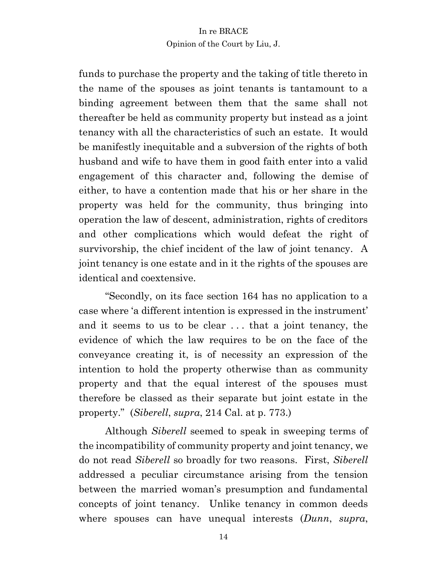funds to purchase the property and the taking of title thereto in the name of the spouses as joint tenants is tantamount to a binding agreement between them that the same shall not thereafter be held as community property but instead as a joint tenancy with all the characteristics of such an estate. It would be manifestly inequitable and a subversion of the rights of both husband and wife to have them in good faith enter into a valid engagement of this character and, following the demise of either, to have a contention made that his or her share in the property was held for the community, thus bringing into operation the law of descent, administration, rights of creditors and other complications which would defeat the right of survivorship, the chief incident of the law of joint tenancy. A joint tenancy is one estate and in it the rights of the spouses are identical and coextensive.

"Secondly, on its face section 164 has no application to a case where 'a different intention is expressed in the instrument' and it seems to us to be clear . . . that a joint tenancy, the evidence of which the law requires to be on the face of the conveyance creating it, is of necessity an expression of the intention to hold the property otherwise than as community property and that the equal interest of the spouses must therefore be classed as their separate but joint estate in the property." (*Siberell*, *supra*, 214 Cal. at p. 773.)

Although *Siberell* seemed to speak in sweeping terms of the incompatibility of community property and joint tenancy, we do not read *Siberell* so broadly for two reasons. First, *Siberell* addressed a peculiar circumstance arising from the tension between the married woman's presumption and fundamental concepts of joint tenancy. Unlike tenancy in common deeds where spouses can have unequal interests (*Dunn*, *supra*,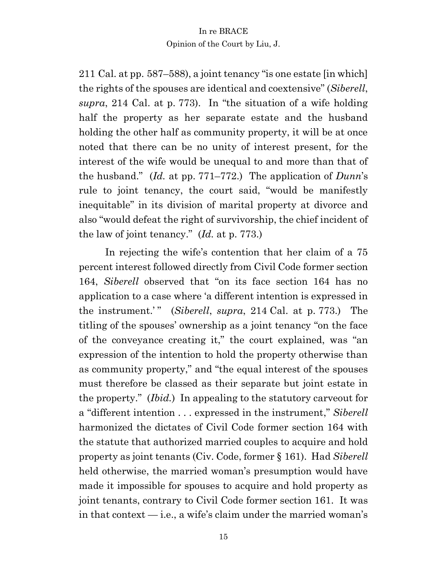211 Cal. at pp. 587–588), a joint tenancy "is one estate [in which] the rights of the spouses are identical and coextensive" (*Siberell*, *supra*, 214 Cal. at p. 773). In "the situation of a wife holding half the property as her separate estate and the husband holding the other half as community property, it will be at once noted that there can be no unity of interest present, for the interest of the wife would be unequal to and more than that of the husband." (*Id.* at pp. 771–772.) The application of *Dunn*'s rule to joint tenancy, the court said, "would be manifestly inequitable" in its division of marital property at divorce and also "would defeat the right of survivorship, the chief incident of the law of joint tenancy." (*Id.* at p. 773.)

In rejecting the wife's contention that her claim of a 75 percent interest followed directly from Civil Code former section 164, *Siberell* observed that "on its face section 164 has no application to a case where 'a different intention is expressed in the instrument.'" (*Siberell*, *supra*, 214 Cal. at p. 773.) The titling of the spouses' ownership as a joint tenancy "on the face of the conveyance creating it," the court explained, was "an expression of the intention to hold the property otherwise than as community property," and "the equal interest of the spouses must therefore be classed as their separate but joint estate in the property." (*Ibid.*) In appealing to the statutory carveout for a "different intention . . . expressed in the instrument," *Siberell* harmonized the dictates of Civil Code former section 164 with the statute that authorized married couples to acquire and hold property as joint tenants (Civ. Code, former § 161). Had *Siberell* held otherwise, the married woman's presumption would have made it impossible for spouses to acquire and hold property as joint tenants, contrary to Civil Code former section 161. It was in that context — i.e., a wife's claim under the married woman's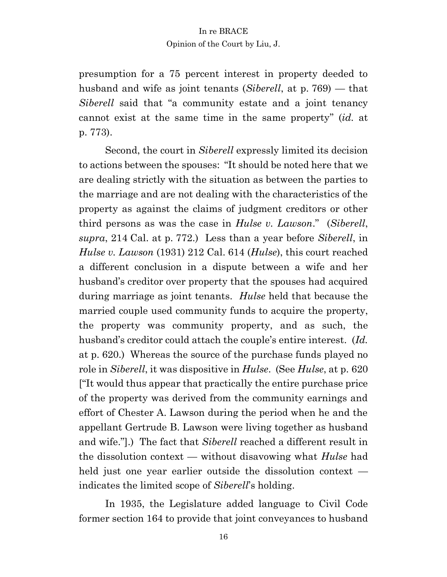presumption for a 75 percent interest in property deeded to husband and wife as joint tenants (*Siberell*, at p. 769) — that *Siberell* said that "a community estate and a joint tenancy cannot exist at the same time in the same property" (*id.* at p. 773).

Second, the court in *Siberell* expressly limited its decision to actions between the spouses: "It should be noted here that we are dealing strictly with the situation as between the parties to the marriage and are not dealing with the characteristics of the property as against the claims of judgment creditors or other third persons as was the case in *Hulse v. Lawson*." (*Siberell*, *supra*, 214 Cal. at p. 772.) Less than a year before *Siberell*, in *Hulse v. Lawson* (1931) 212 Cal. 614 (*Hulse*), this court reached a different conclusion in a dispute between a wife and her husband's creditor over property that the spouses had acquired during marriage as joint tenants. *Hulse* held that because the married couple used community funds to acquire the property, the property was community property, and as such, the husband's creditor could attach the couple's entire interest. (*Id.*  at p. 620.) Whereas the source of the purchase funds played no role in *Siberell*, it was dispositive in *Hulse*. (See *Hulse*, at p. 620 ["It would thus appear that practically the entire purchase price of the property was derived from the community earnings and effort of Chester A. Lawson during the period when he and the appellant Gertrude B. Lawson were living together as husband and wife."].) The fact that *Siberell* reached a different result in the dissolution context — without disavowing what *Hulse* had held just one year earlier outside the dissolution context indicates the limited scope of *Siberell*'s holding.

In 1935, the Legislature added language to Civil Code former section 164 to provide that joint conveyances to husband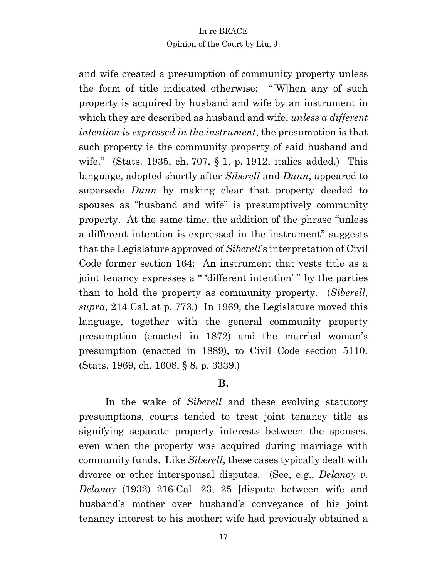and wife created a presumption of community property unless the form of title indicated otherwise: "[W]hen any of such property is acquired by husband and wife by an instrument in which they are described as husband and wife, *unless a different intention is expressed in the instrument*, the presumption is that such property is the community property of said husband and wife." (Stats. 1935, ch. 707, § 1, p. 1912, italics added.) This language, adopted shortly after *Siberell* and *Dunn*, appeared to supersede *Dunn* by making clear that property deeded to spouses as "husband and wife" is presumptively community property. At the same time, the addition of the phrase "unless a different intention is expressed in the instrument" suggests that the Legislature approved of *Siberell*'s interpretation of Civil Code former section 164: An instrument that vests title as a joint tenancy expresses a " 'different intention' " by the parties than to hold the property as community property. (*Siberell*, *supra*, 214 Cal. at p. 773.) In 1969, the Legislature moved this language, together with the general community property presumption (enacted in 1872) and the married woman's presumption (enacted in 1889), to Civil Code section 5110. (Stats. 1969, ch. 1608, § 8, p. 3339.)

#### **B.**

In the wake of *Siberell* and these evolving statutory presumptions, courts tended to treat joint tenancy title as signifying separate property interests between the spouses, even when the property was acquired during marriage with community funds. Like *Siberell*, these cases typically dealt with divorce or other interspousal disputes. (See, e.g., *Delanoy v. Delanoy* (1932) 216 Cal. 23, 25 [dispute between wife and husband's mother over husband's conveyance of his joint tenancy interest to his mother; wife had previously obtained a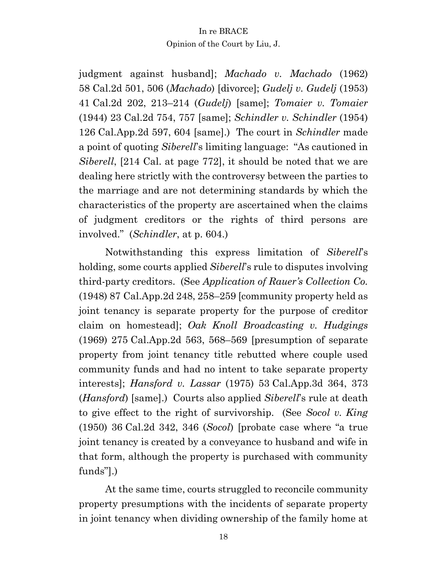judgment against husband]; *Machado v. Machado* (1962) 58 Cal.2d 501, 506 (*Machado*) [divorce]; *Gudelj v. Gudelj* (1953) 41 Cal.2d 202, 213–214 (*Gudelj*) [same]; *Tomaier v. Tomaier* (1944) 23 Cal.2d 754, 757 [same]; *Schindler v. Schindler* (1954) 126 Cal.App.2d 597, 604 [same].) The court in *Schindler* made a point of quoting *Siberell*'s limiting language: "As cautioned in *Siberell*, [214 Cal. at page 772], it should be noted that we are dealing here strictly with the controversy between the parties to the marriage and are not determining standards by which the characteristics of the property are ascertained when the claims of judgment creditors or the rights of third persons are involved." (*Schindler*, at p. 604.)

Notwithstanding this express limitation of *Siberell*'s holding, some courts applied *Siberell*'s rule to disputes involving third-party creditors. (See *Application of Rauer's Collection Co.*  (1948) 87 Cal.App.2d 248, 258–259 [community property held as joint tenancy is separate property for the purpose of creditor claim on homestead]; *Oak Knoll Broadcasting v. Hudgings*  (1969) 275 Cal.App.2d 563, 568–569 [presumption of separate property from joint tenancy title rebutted where couple used community funds and had no intent to take separate property interests]; *Hansford v. Lassar* (1975) 53 Cal.App.3d 364, 373 (*Hansford*) [same].) Courts also applied *Siberell*'s rule at death to give effect to the right of survivorship. (See *Socol v. King* (1950) 36 Cal.2d 342, 346 (*Socol*) [probate case where "a true joint tenancy is created by a conveyance to husband and wife in that form, although the property is purchased with community funds"].)

At the same time, courts struggled to reconcile community property presumptions with the incidents of separate property in joint tenancy when dividing ownership of the family home at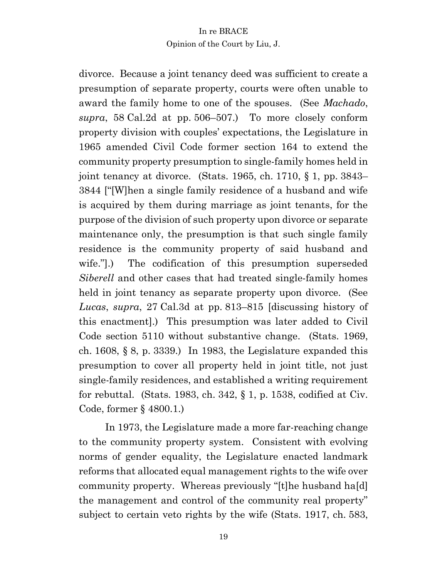divorce. Because a joint tenancy deed was sufficient to create a presumption of separate property, courts were often unable to award the family home to one of the spouses. (See *Machado*, *supra*, 58 Cal.2d at pp. 506–507.) To more closely conform property division with couples' expectations, the Legislature in 1965 amended Civil Code former section 164 to extend the community property presumption to single-family homes held in joint tenancy at divorce. (Stats. 1965, ch. 1710, § 1, pp. 3843– 3844 ["[W]hen a single family residence of a husband and wife is acquired by them during marriage as joint tenants, for the purpose of the division of such property upon divorce or separate maintenance only, the presumption is that such single family residence is the community property of said husband and wife."].) The codification of this presumption superseded *Siberell* and other cases that had treated single-family homes held in joint tenancy as separate property upon divorce. (See *Lucas*, *supra*, 27 Cal.3d at pp. 813–815 [discussing history of this enactment].) This presumption was later added to Civil Code section 5110 without substantive change. (Stats. 1969, ch. 1608,  $\S$  8, p. 3339.) In 1983, the Legislature expanded this presumption to cover all property held in joint title, not just single-family residences, and established a writing requirement for rebuttal. (Stats. 1983, ch. 342,  $\S$  1, p. 1538, codified at Civ. Code, former § 4800.1.)

In 1973, the Legislature made a more far-reaching change to the community property system. Consistent with evolving norms of gender equality, the Legislature enacted landmark reforms that allocated equal management rights to the wife over community property. Whereas previously "[t]he husband ha[d] the management and control of the community real property" subject to certain veto rights by the wife (Stats. 1917, ch. 583,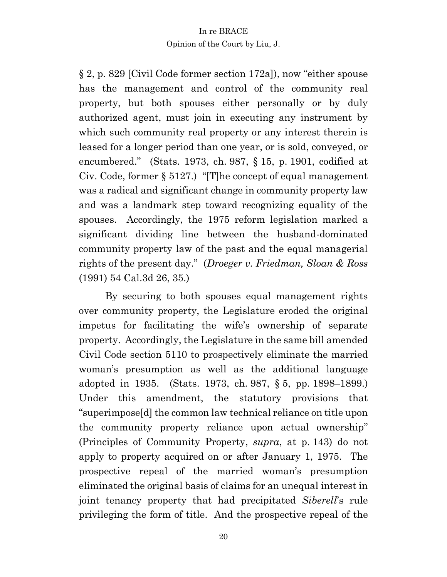§ 2, p. 829 [Civil Code former section 172a]), now "either spouse has the management and control of the community real property, but both spouses either personally or by duly authorized agent, must join in executing any instrument by which such community real property or any interest therein is leased for a longer period than one year, or is sold, conveyed, or encumbered." (Stats. 1973, ch. 987, § 15, p. 1901, codified at Civ. Code, former § 5127.) "[T]he concept of equal management was a radical and significant change in community property law and was a landmark step toward recognizing equality of the spouses. Accordingly, the 1975 reform legislation marked a significant dividing line between the husband-dominated community property law of the past and the equal managerial rights of the present day." (*Droeger v. Friedman, Sloan & Ross*  (1991) 54 Cal.3d 26, 35.)

By securing to both spouses equal management rights over community property, the Legislature eroded the original impetus for facilitating the wife's ownership of separate property. Accordingly, the Legislature in the same bill amended Civil Code section 5110 to prospectively eliminate the married woman's presumption as well as the additional language adopted in 1935. (Stats. 1973, ch. 987, § 5, pp. 1898–1899.) Under this amendment, the statutory provisions that "superimpose[d] the common law technical reliance on title upon the community property reliance upon actual ownership" (Principles of Community Property, *supra*, at p. 143) do not apply to property acquired on or after January 1, 1975. The prospective repeal of the married woman's presumption eliminated the original basis of claims for an unequal interest in joint tenancy property that had precipitated *Siberell*'s rule privileging the form of title. And the prospective repeal of the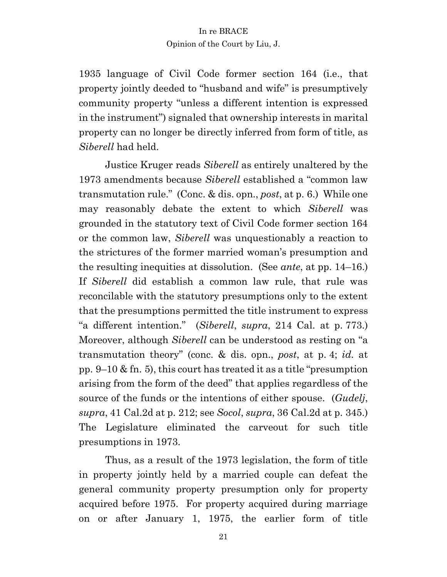1935 language of Civil Code former section 164 (i.e., that property jointly deeded to "husband and wife" is presumptively community property "unless a different intention is expressed in the instrument") signaled that ownership interests in marital property can no longer be directly inferred from form of title, as *Siberell* had held.

Justice Kruger reads *Siberell* as entirely unaltered by the 1973 amendments because *Siberell* established a "common law transmutation rule." (Conc. & dis. opn., *post*, at p. 6.) While one may reasonably debate the extent to which *Siberell* was grounded in the statutory text of Civil Code former section 164 or the common law, *Siberell* was unquestionably a reaction to the strictures of the former married woman's presumption and the resulting inequities at dissolution. (See *ante*, at pp. 14–16.) If *Siberell* did establish a common law rule, that rule was reconcilable with the statutory presumptions only to the extent that the presumptions permitted the title instrument to express "a different intention." (*Siberell*, *supra*, 214 Cal. at p. 773.) Moreover, although *Siberell* can be understood as resting on "a transmutation theory" (conc. & dis. opn., *post*, at p. 4; *id.* at pp. 9–10 & fn. 5), this court has treated it as a title "presumption arising from the form of the deed" that applies regardless of the source of the funds or the intentions of either spouse. (*Gudelj*, *supra*, 41 Cal.2d at p. 212; see *Socol*, *supra*, 36 Cal.2d at p. 345.) The Legislature eliminated the carveout for such title presumptions in 1973.

Thus, as a result of the 1973 legislation, the form of title in property jointly held by a married couple can defeat the general community property presumption only for property acquired before 1975. For property acquired during marriage on or after January 1, 1975, the earlier form of title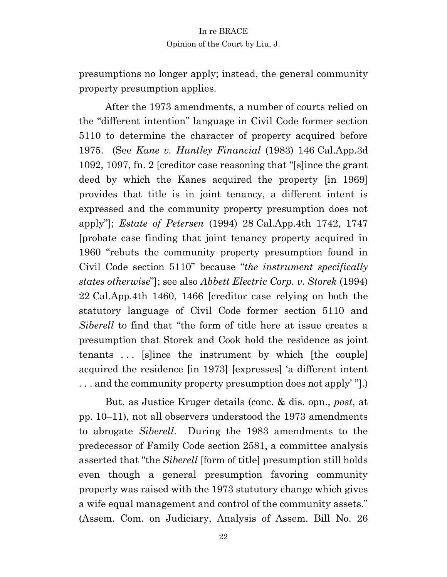presumptions no longer apply; instead, the general community property presumption applies.

After the 1973 amendments, a number of courts relied on the "different intention" language in Civil Code former section 5110 to determine the character of property acquired before 1975. (See *Kane v. Huntley Financial* (1983) 146 Cal.App.3d 1092, 1097, fn. 2 [creditor case reasoning that "[s]ince the grant deed by which the Kanes acquired the property [in 1969] provides that title is in joint tenancy, a different intent is expressed and the community property presumption does not apply"]; *Estate of Petersen* (1994) 28 Cal.App.4th 1742, 1747 [probate case finding that joint tenancy property acquired in 1960 "rebuts the community property presumption found in Civil Code section 5110" because "*the instrument specifically states otherwise*"]; see also *Abbett Electric Corp. v. Storek* (1994) 22 Cal.App.4th 1460, 1466 [creditor case relying on both the statutory language of Civil Code former section 5110 and *Siberell* to find that "the form of title here at issue creates a presumption that Storek and Cook hold the residence as joint tenants ... [s]ince the instrument by which [the couple] acquired the residence [in 1973] [expresses] 'a different intent . . . and the community property presumption does not apply' "].)

But, as Justice Kruger details (conc. & dis. opn., *post*, at pp. 10–11), not all observers understood the 1973 amendments to abrogate *Siberell*. During the 1983 amendments to the predecessor of Family Code section 2581, a committee analysis asserted that "the *Siberell* [form of title] presumption still holds even though a general presumption favoring community property was raised with the 1973 statutory change which gives a wife equal management and control of the community assets." (Assem. Com. on Judiciary, Analysis of Assem. Bill No. 26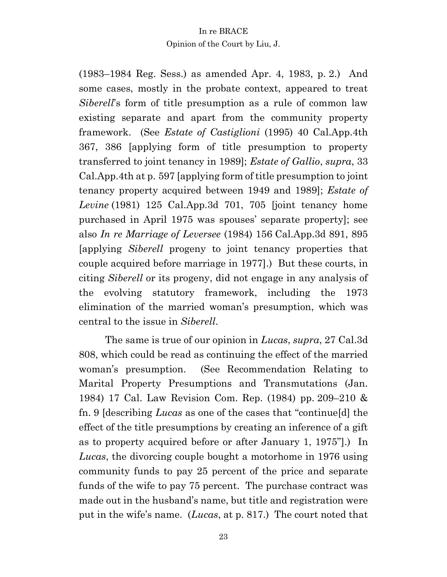(1983–1984 Reg. Sess.) as amended Apr. 4, 1983, p. 2.) And some cases, mostly in the probate context, appeared to treat *Siberell*'s form of title presumption as a rule of common law existing separate and apart from the community property framework. (See *Estate of Castiglioni* (1995) 40 Cal.App.4th 367, 386 [applying form of title presumption to property transferred to joint tenancy in 1989]; *Estate of Gallio*, *supra*, 33 Cal.App.4th at p. 597 [applying form of title presumption to joint tenancy property acquired between 1949 and 1989]; *Estate of Levine* (1981) 125 Cal.App.3d 701, 705 [joint tenancy home purchased in April 1975 was spouses' separate property]; see also *In re Marriage of Leversee* (1984) 156 Cal.App.3d 891, 895 [applying *Siberell* progeny to joint tenancy properties that couple acquired before marriage in 1977].) But these courts, in citing *Siberell* or its progeny, did not engage in any analysis of the evolving statutory framework, including the 1973 elimination of the married woman's presumption, which was central to the issue in *Siberell*.

The same is true of our opinion in *Lucas*, *supra*, 27 Cal.3d 808, which could be read as continuing the effect of the married woman's presumption. (See Recommendation Relating to Marital Property Presumptions and Transmutations (Jan. 1984) 17 Cal. Law Revision Com. Rep. (1984) pp. 209–210 & fn. 9 [describing *Lucas* as one of the cases that "continue[d] the effect of the title presumptions by creating an inference of a gift as to property acquired before or after January 1, 1975"].) In *Lucas*, the divorcing couple bought a motorhome in 1976 using community funds to pay 25 percent of the price and separate funds of the wife to pay 75 percent. The purchase contract was made out in the husband's name, but title and registration were put in the wife's name. (*Lucas*, at p. 817.) The court noted that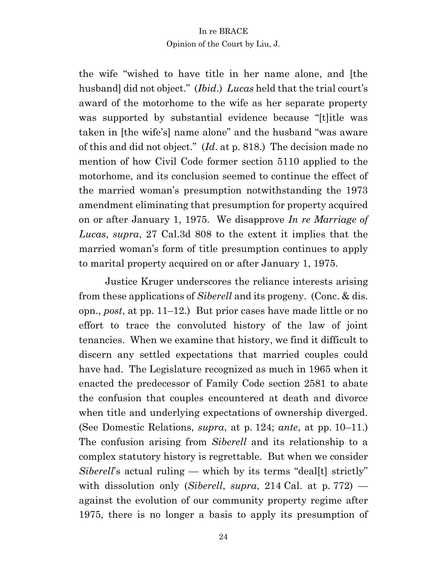the wife "wished to have title in her name alone, and [the husband] did not object." (*Ibid*.) *Lucas* held that the trial court's award of the motorhome to the wife as her separate property was supported by substantial evidence because "[t]itle was taken in [the wife's] name alone" and the husband "was aware of this and did not object." (*Id*. at p. 818.) The decision made no mention of how Civil Code former section 5110 applied to the motorhome, and its conclusion seemed to continue the effect of the married woman's presumption notwithstanding the 1973 amendment eliminating that presumption for property acquired on or after January 1, 1975. We disapprove *In re Marriage of Lucas*, *supra*, 27 Cal.3d 808 to the extent it implies that the married woman's form of title presumption continues to apply to marital property acquired on or after January 1, 1975.

Justice Kruger underscores the reliance interests arising from these applications of *Siberell* and its progeny. (Conc. & dis. opn., *post*, at pp. 11–12.) But prior cases have made little or no effort to trace the convoluted history of the law of joint tenancies. When we examine that history, we find it difficult to discern any settled expectations that married couples could have had. The Legislature recognized as much in 1965 when it enacted the predecessor of Family Code section 2581 to abate the confusion that couples encountered at death and divorce when title and underlying expectations of ownership diverged. (See Domestic Relations, *supra*, at p. 124; *ante*, at pp. 10–11.) The confusion arising from *Siberell* and its relationship to a complex statutory history is regrettable. But when we consider *Siberell*'s actual ruling — which by its terms "deal[t] strictly" with dissolution only (*Siberell*, *supra*, 214 Cal. at p. 772) against the evolution of our community property regime after 1975, there is no longer a basis to apply its presumption of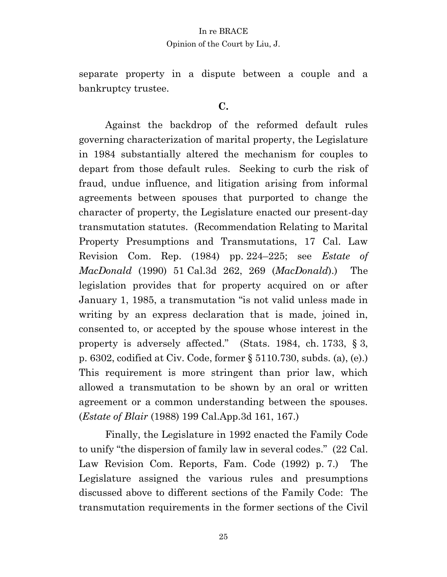separate property in a dispute between a couple and a bankruptcy trustee.

# **C.**

Against the backdrop of the reformed default rules governing characterization of marital property, the Legislature in 1984 substantially altered the mechanism for couples to depart from those default rules. Seeking to curb the risk of fraud, undue influence, and litigation arising from informal agreements between spouses that purported to change the character of property, the Legislature enacted our present-day transmutation statutes. (Recommendation Relating to Marital Property Presumptions and Transmutations, 17 Cal. Law Revision Com. Rep. (1984) pp. 224–225; see *Estate of MacDonald* (1990) 51 Cal.3d 262, 269 (*MacDonald*).) The legislation provides that for property acquired on or after January 1, 1985, a transmutation "is not valid unless made in writing by an express declaration that is made, joined in, consented to, or accepted by the spouse whose interest in the property is adversely affected." (Stats. 1984, ch. 1733, § 3, p. 6302, codified at Civ. Code, former § 5110.730, subds. (a), (e).) This requirement is more stringent than prior law, which allowed a transmutation to be shown by an oral or written agreement or a common understanding between the spouses. (*Estate of Blair* (1988) 199 Cal.App.3d 161, 167.)

Finally, the Legislature in 1992 enacted the Family Code to unify "the dispersion of family law in several codes." (22 Cal. Law Revision Com. Reports, Fam. Code (1992) p. 7.) The Legislature assigned the various rules and presumptions discussed above to different sections of the Family Code: The transmutation requirements in the former sections of the Civil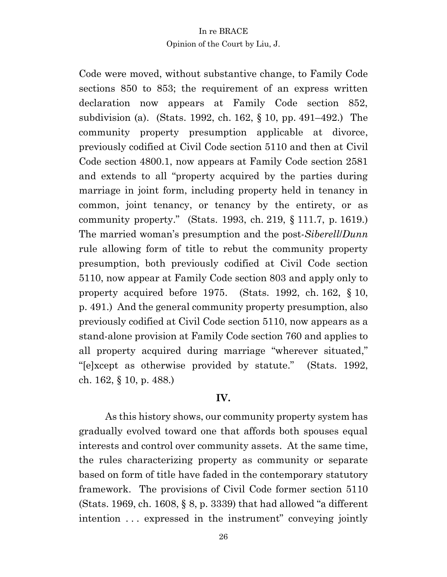Code were moved, without substantive change, to Family Code sections 850 to 853; the requirement of an express written declaration now appears at Family Code section 852, subdivision (a). (Stats. 1992, ch. 162, § 10, pp. 491–492.) The community property presumption applicable at divorce, previously codified at Civil Code section 5110 and then at Civil Code section 4800.1, now appears at Family Code section 2581 and extends to all "property acquired by the parties during marriage in joint form, including property held in tenancy in common, joint tenancy, or tenancy by the entirety, or as community property." (Stats. 1993, ch. 219, § 111.7, p. 1619.) The married woman's presumption and the post-*Siberell*/*Dunn* rule allowing form of title to rebut the community property presumption, both previously codified at Civil Code section 5110, now appear at Family Code section 803 and apply only to property acquired before 1975. (Stats. 1992, ch. 162, § 10, p. 491.)And the general community property presumption, also previously codified at Civil Code section 5110, now appears as a stand-alone provision at Family Code section 760 and applies to all property acquired during marriage "wherever situated," "[e]xcept as otherwise provided by statute." (Stats. 1992, ch. 162, § 10, p. 488.)

# **IV.**

As this history shows, our community property system has gradually evolved toward one that affords both spouses equal interests and control over community assets. At the same time, the rules characterizing property as community or separate based on form of title have faded in the contemporary statutory framework. The provisions of Civil Code former section 5110 (Stats. 1969, ch. 1608, § 8, p. 3339) that had allowed "a different intention . . . expressed in the instrument" conveying jointly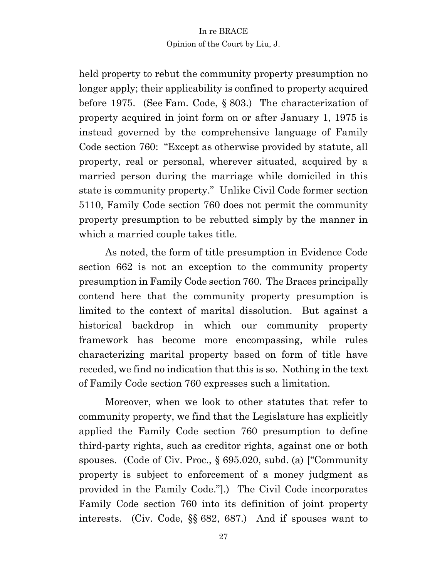held property to rebut the community property presumption no longer apply; their applicability is confined to property acquired before 1975. (See Fam. Code, § 803.) The characterization of property acquired in joint form on or after January 1, 1975 is instead governed by the comprehensive language of Family Code section 760: "Except as otherwise provided by statute, all property, real or personal, wherever situated, acquired by a married person during the marriage while domiciled in this state is community property." Unlike Civil Code former section 5110, Family Code section 760 does not permit the community property presumption to be rebutted simply by the manner in which a married couple takes title.

As noted, the form of title presumption in Evidence Code section 662 is not an exception to the community property presumption in Family Code section 760. The Braces principally contend here that the community property presumption is limited to the context of marital dissolution. But against a historical backdrop in which our community property framework has become more encompassing, while rules characterizing marital property based on form of title have receded, we find no indication that this is so. Nothing in the text of Family Code section 760 expresses such a limitation.

Moreover, when we look to other statutes that refer to community property, we find that the Legislature has explicitly applied the Family Code section 760 presumption to define third-party rights, such as creditor rights, against one or both spouses. (Code of Civ. Proc., § 695.020, subd. (a) ["Community property is subject to enforcement of a money judgment as provided in the Family Code."].) The Civil Code incorporates Family Code section 760 into its definition of joint property interests. (Civ. Code, §§ 682, 687.) And if spouses want to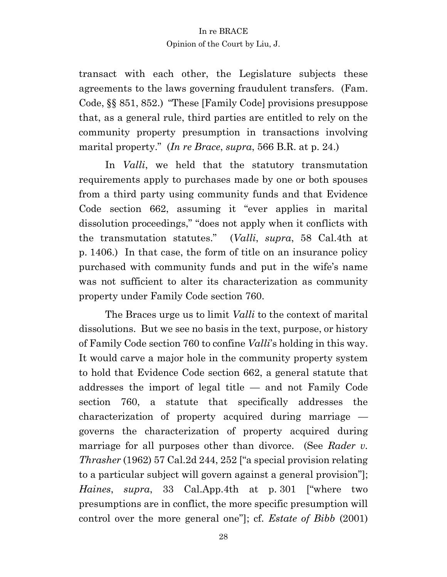transact with each other, the Legislature subjects these agreements to the laws governing fraudulent transfers. (Fam. Code, §§ 851, 852.) "These [Family Code] provisions presuppose that, as a general rule, third parties are entitled to rely on the community property presumption in transactions involving marital property." (*In re Brace*, *supra*, 566 B.R. at p. 24.)

In *Valli*, we held that the statutory transmutation requirements apply to purchases made by one or both spouses from a third party using community funds and that Evidence Code section 662, assuming it "ever applies in marital dissolution proceedings," "does not apply when it conflicts with the transmutation statutes." (*Valli*, *supra*, 58 Cal.4th at p. 1406.) In that case, the form of title on an insurance policy purchased with community funds and put in the wife's name was not sufficient to alter its characterization as community property under Family Code section 760.

The Braces urge us to limit *Valli* to the context of marital dissolutions. But we see no basis in the text, purpose, or history of Family Code section 760 to confine *Valli*'s holding in this way. It would carve a major hole in the community property system to hold that Evidence Code section 662, a general statute that addresses the import of legal title — and not Family Code section 760, a statute that specifically addresses the characterization of property acquired during marriage governs the characterization of property acquired during marriage for all purposes other than divorce. (See *Rader v. Thrasher* (1962) 57 Cal.2d 244, 252 ["a special provision relating to a particular subject will govern against a general provision"]; *Haines*, *supra*, 33 Cal.App.4th at p. 301 ["where two presumptions are in conflict, the more specific presumption will control over the more general one"]; cf. *Estate of Bibb* (2001)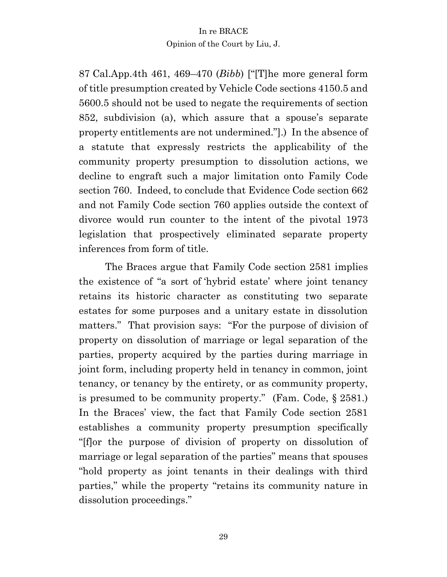87 Cal.App.4th 461, 469–470 (*Bibb*) ["[T]he more general form of title presumption created by Vehicle Code sections 4150.5 and 5600.5 should not be used to negate the requirements of section 852, subdivision (a), which assure that a spouse's separate property entitlements are not undermined."].) In the absence of a statute that expressly restricts the applicability of the community property presumption to dissolution actions, we decline to engraft such a major limitation onto Family Code section 760. Indeed, to conclude that Evidence Code section 662 and not Family Code section 760 applies outside the context of divorce would run counter to the intent of the pivotal 1973 legislation that prospectively eliminated separate property inferences from form of title.

The Braces argue that Family Code section 2581 implies the existence of "a sort of 'hybrid estate' where joint tenancy retains its historic character as constituting two separate estates for some purposes and a unitary estate in dissolution matters." That provision says: "For the purpose of division of property on dissolution of marriage or legal separation of the parties, property acquired by the parties during marriage in joint form, including property held in tenancy in common, joint tenancy, or tenancy by the entirety, or as community property, is presumed to be community property." (Fam. Code, § 2581.) In the Braces' view, the fact that Family Code section 2581 establishes a community property presumption specifically "[f]or the purpose of division of property on dissolution of marriage or legal separation of the parties" means that spouses "hold property as joint tenants in their dealings with third parties," while the property "retains its community nature in dissolution proceedings."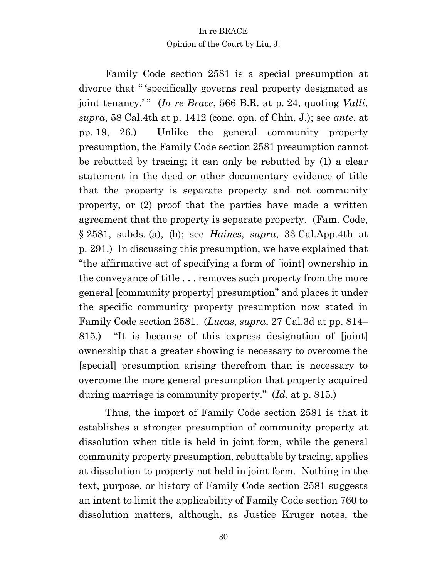Family Code section 2581 is a special presumption at divorce that " 'specifically governs real property designated as joint tenancy.' " (*In re Brace*, 566 B.R. at p. 24, quoting *Valli*, *supra*, 58 Cal.4th at p. 1412 (conc. opn. of Chin, J.); see *ante*, at pp. 19, 26.) Unlike the general community property presumption, the Family Code section 2581 presumption cannot be rebutted by tracing; it can only be rebutted by (1) a clear statement in the deed or other documentary evidence of title that the property is separate property and not community property, or (2) proof that the parties have made a written agreement that the property is separate property. (Fam. Code, § 2581, subds. (a), (b); see *Haines*, *supra*, 33 Cal.App.4th at p. 291.) In discussing this presumption, we have explained that "the affirmative act of specifying a form of [joint] ownership in the conveyance of title . . . removes such property from the more general [community property] presumption" and places it under the specific community property presumption now stated in Family Code section 2581. (*Lucas*, *supra*, 27 Cal.3d at pp. 814– 815.) "It is because of this express designation of [joint] ownership that a greater showing is necessary to overcome the [special] presumption arising therefrom than is necessary to overcome the more general presumption that property acquired during marriage is community property." (*Id.* at p. 815.)

Thus, the import of Family Code section 2581 is that it establishes a stronger presumption of community property at dissolution when title is held in joint form, while the general community property presumption, rebuttable by tracing, applies at dissolution to property not held in joint form. Nothing in the text, purpose, or history of Family Code section 2581 suggests an intent to limit the applicability of Family Code section 760 to dissolution matters, although, as Justice Kruger notes, the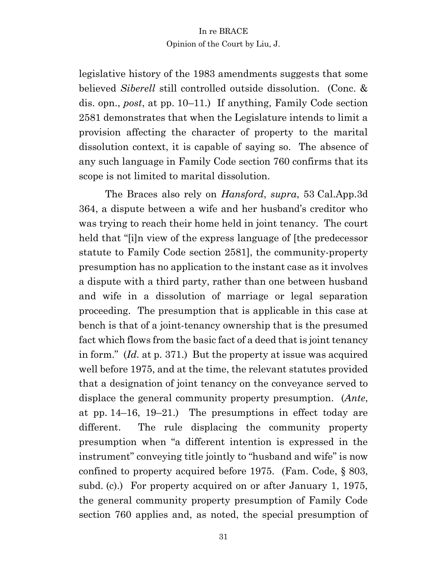legislative history of the 1983 amendments suggests that some believed *Siberell* still controlled outside dissolution. (Conc. & dis. opn., *post*, at pp. 10–11.) If anything, Family Code section 2581 demonstrates that when the Legislature intends to limit a provision affecting the character of property to the marital dissolution context, it is capable of saying so. The absence of any such language in Family Code section 760 confirms that its scope is not limited to marital dissolution.

The Braces also rely on *Hansford*, *supra*, 53 Cal.App.3d 364, a dispute between a wife and her husband's creditor who was trying to reach their home held in joint tenancy. The court held that "[i]n view of the express language of [the predecessor statute to Family Code section 2581], the community-property presumption has no application to the instant case as it involves a dispute with a third party, rather than one between husband and wife in a dissolution of marriage or legal separation proceeding. The presumption that is applicable in this case at bench is that of a joint-tenancy ownership that is the presumed fact which flows from the basic fact of a deed that is joint tenancy in form." (*Id.* at p. 371.) But the property at issue was acquired well before 1975, and at the time, the relevant statutes provided that a designation of joint tenancy on the conveyance served to displace the general community property presumption. (*Ante*, at pp. 14–16, 19–21.) The presumptions in effect today are different. The rule displacing the community property presumption when "a different intention is expressed in the instrument" conveying title jointly to "husband and wife" is now confined to property acquired before 1975. (Fam. Code, § 803, subd. (c).) For property acquired on or after January 1, 1975, the general community property presumption of Family Code section 760 applies and, as noted, the special presumption of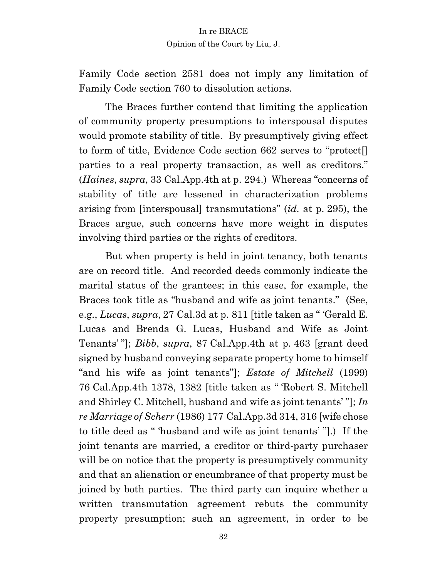Family Code section 2581 does not imply any limitation of Family Code section 760 to dissolution actions.

The Braces further contend that limiting the application of community property presumptions to interspousal disputes would promote stability of title. By presumptively giving effect to form of title, Evidence Code section 662 serves to "protect[] parties to a real property transaction, as well as creditors." (*Haines*, *supra*, 33 Cal.App.4th at p. 294.) Whereas "concerns of stability of title are lessened in characterization problems arising from [interspousal] transmutations" (*id.* at p. 295), the Braces argue, such concerns have more weight in disputes involving third parties or the rights of creditors.

But when property is held in joint tenancy, both tenants are on record title. And recorded deeds commonly indicate the marital status of the grantees; in this case, for example, the Braces took title as "husband and wife as joint tenants." (See, e.g., *Lucas*, *supra*, 27 Cal.3d at p. 811 [title taken as " 'Gerald E. Lucas and Brenda G. Lucas, Husband and Wife as Joint Tenants' "]; *Bibb*, *supra*, 87 Cal.App.4th at p. 463 [grant deed signed by husband conveying separate property home to himself "and his wife as joint tenants"]; *Estate of Mitchell* (1999) 76 Cal.App.4th 1378, 1382 [title taken as " 'Robert S. Mitchell and Shirley C. Mitchell, husband and wife as joint tenants' "]; *In re Marriage of Scherr* (1986) 177 Cal.App.3d 314, 316 [wife chose to title deed as " 'husband and wife as joint tenants' "].) If the joint tenants are married, a creditor or third-party purchaser will be on notice that the property is presumptively community and that an alienation or encumbrance of that property must be joined by both parties. The third party can inquire whether a written transmutation agreement rebuts the community property presumption; such an agreement, in order to be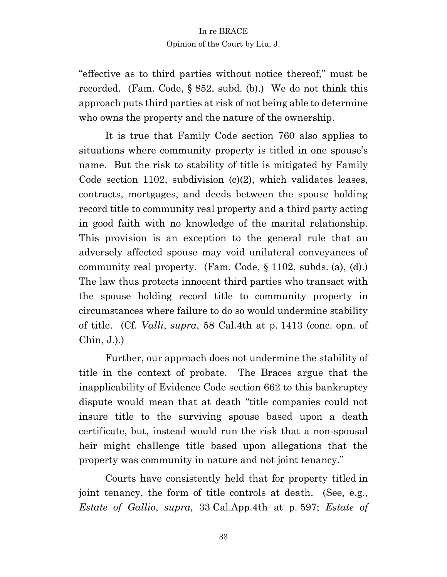"effective as to third parties without notice thereof," must be recorded. (Fam. Code, § 852, subd. (b).) We do not think this approach puts third parties at risk of not being able to determine who owns the property and the nature of the ownership.

It is true that Family Code section 760 also applies to situations where community property is titled in one spouse's name. But the risk to stability of title is mitigated by Family Code section 1102, subdivision  $(c)(2)$ , which validates leases, contracts, mortgages, and deeds between the spouse holding record title to community real property and a third party acting in good faith with no knowledge of the marital relationship. This provision is an exception to the general rule that an adversely affected spouse may void unilateral conveyances of community real property. (Fam. Code, § 1102, subds. (a), (d).) The law thus protects innocent third parties who transact with the spouse holding record title to community property in circumstances where failure to do so would undermine stability of title. (Cf. *Valli*, *supra*, 58 Cal.4th at p. 1413 (conc. opn. of Chin, J.).)

Further, our approach does not undermine the stability of title in the context of probate. The Braces argue that the inapplicability of Evidence Code section 662 to this bankruptcy dispute would mean that at death "title companies could not insure title to the surviving spouse based upon a death certificate, but, instead would run the risk that a non-spousal heir might challenge title based upon allegations that the property was community in nature and not joint tenancy."

Courts have consistently held that for property titled in joint tenancy, the form of title controls at death. (See, e.g., *Estate of Gallio*, *supra*, 33 Cal.App.4th at p. 597; *Estate of*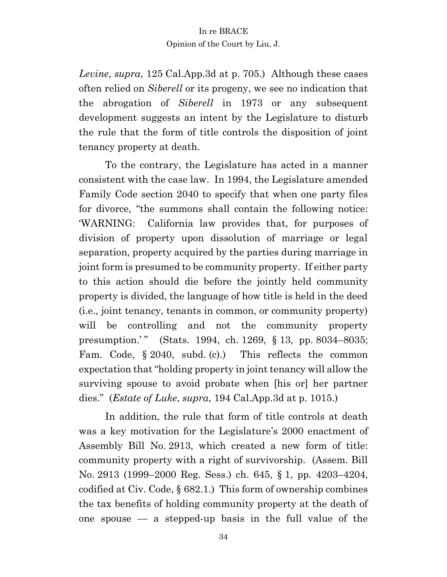*Levine*, *supra*, 125 Cal.App.3d at p. 705.) Although these cases often relied on *Siberell* or its progeny, we see no indication that the abrogation of *Siberell* in 1973 or any subsequent development suggests an intent by the Legislature to disturb the rule that the form of title controls the disposition of joint tenancy property at death.

To the contrary, the Legislature has acted in a manner consistent with the case law. In 1994, the Legislature amended Family Code section 2040 to specify that when one party files for divorce, "the summons shall contain the following notice: 'WARNING: California law provides that, for purposes of division of property upon dissolution of marriage or legal separation, property acquired by the parties during marriage in joint form is presumed to be community property. If either party to this action should die before the jointly held community property is divided, the language of how title is held in the deed (i.e., joint tenancy, tenants in common, or community property) will be controlling and not the community property presumption.'" (Stats. 1994, ch. 1269, § 13, pp. 8034-8035; Fam. Code, § 2040, subd. (c).) This reflects the common expectation that "holding property in joint tenancy will allow the surviving spouse to avoid probate when [his or] her partner dies." (*Estate of Luke*, *supra*, 194 Cal.App.3d at p. 1015.)

In addition, the rule that form of title controls at death was a key motivation for the Legislature's 2000 enactment of Assembly Bill No. 2913, which created a new form of title: community property with a right of survivorship. (Assem. Bill No. 2913 (1999–2000 Reg. Sess.) ch. 645, § 1, pp. 4203–4204, codified at Civ. Code, § 682.1.) This form of ownership combines the tax benefits of holding community property at the death of one spouse — a stepped-up basis in the full value of the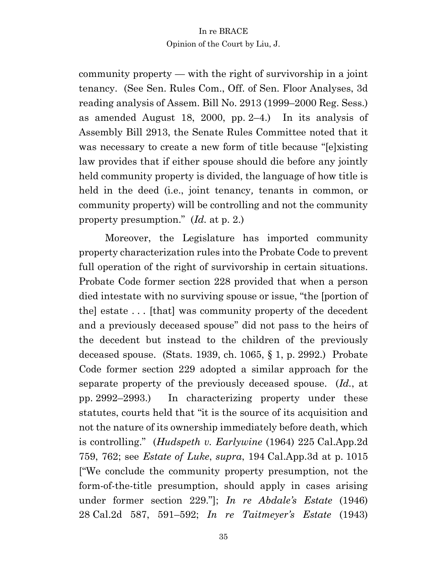community property — with the right of survivorship in a joint tenancy. (See Sen. Rules Com., Off. of Sen. Floor Analyses, 3d reading analysis of Assem. Bill No. 2913 (1999–2000 Reg. Sess.) as amended August 18, 2000, pp. 2–4.) In its analysis of Assembly Bill 2913, the Senate Rules Committee noted that it was necessary to create a new form of title because "[e]xisting law provides that if either spouse should die before any jointly held community property is divided, the language of how title is held in the deed (i.e., joint tenancy*,* tenants in common, or community property) will be controlling and not the community property presumption." (*Id.* at p. 2.)

Moreover, the Legislature has imported community property characterization rules into the Probate Code to prevent full operation of the right of survivorship in certain situations. Probate Code former section 228 provided that when a person died intestate with no surviving spouse or issue, "the [portion of the] estate . . . [that] was community property of the decedent and a previously deceased spouse" did not pass to the heirs of the decedent but instead to the children of the previously deceased spouse. (Stats. 1939, ch. 1065, § 1, p. 2992.) Probate Code former section 229 adopted a similar approach for the separate property of the previously deceased spouse. (*Id.*, at pp. 2992–2993.) In characterizing property under these statutes, courts held that "it is the source of its acquisition and not the nature of its ownership immediately before death, which is controlling." (*Hudspeth v. Earlywine* (1964) 225 Cal.App.2d 759, 762; see *Estate of Luke*, *supra*, 194 Cal.App.3d at p. 1015 ["We conclude the community property presumption, not the form-of-the-title presumption, should apply in cases arising under former section 229."]; *In re Abdale's Estate* (1946) 28 Cal.2d 587, 591–592; *In re Taitmeyer's Estate* (1943)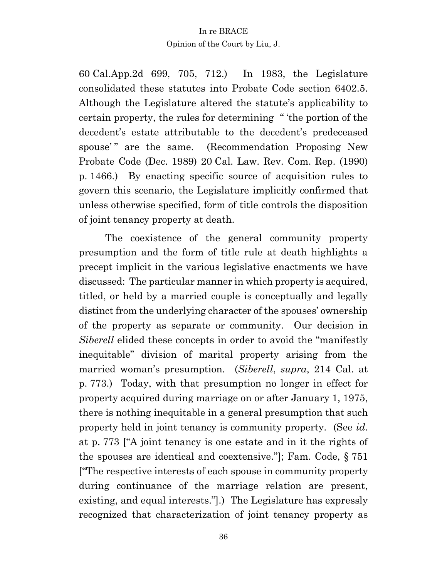60 Cal.App.2d 699, 705, 712.) In 1983, the Legislature consolidated these statutes into Probate Code section 6402.5. Although the Legislature altered the statute's applicability to certain property, the rules for determining " 'the portion of the decedent's estate attributable to the decedent's predeceased spouse'" are the same. (Recommendation Proposing New Probate Code (Dec. 1989) 20 Cal. Law. Rev. Com. Rep. (1990) p. 1466.) By enacting specific source of acquisition rules to govern this scenario, the Legislature implicitly confirmed that unless otherwise specified, form of title controls the disposition of joint tenancy property at death.

The coexistence of the general community property presumption and the form of title rule at death highlights a precept implicit in the various legislative enactments we have discussed: The particular manner in which property is acquired, titled, or held by a married couple is conceptually and legally distinct from the underlying character of the spouses' ownership of the property as separate or community. Our decision in *Siberell* elided these concepts in order to avoid the "manifestly inequitable" division of marital property arising from the married woman's presumption. (*Siberell*, *supra*, 214 Cal. at p. 773.) Today, with that presumption no longer in effect for property acquired during marriage on or after January 1, 1975, there is nothing inequitable in a general presumption that such property held in joint tenancy is community property. (See *id.*  at p. 773 ["A joint tenancy is one estate and in it the rights of the spouses are identical and coextensive."]; Fam. Code, § 751 ["The respective interests of each spouse in community property during continuance of the marriage relation are present, existing, and equal interests."].) The Legislature has expressly recognized that characterization of joint tenancy property as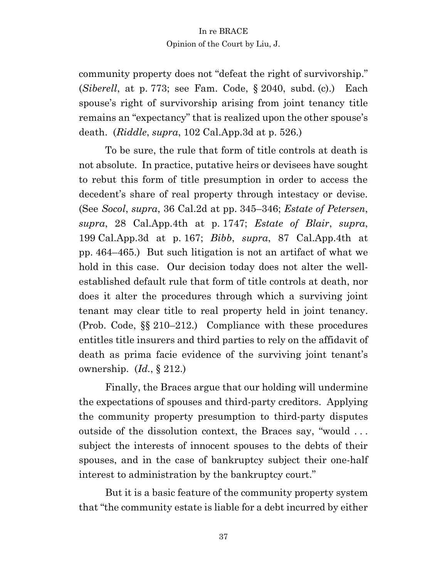community property does not "defeat the right of survivorship." (*Siberell*, at p. 773; see Fam. Code, § 2040, subd. (c).) Each spouse's right of survivorship arising from joint tenancy title remains an "expectancy" that is realized upon the other spouse's death. (*Riddle*, *supra*, 102 Cal.App.3d at p. 526.)

To be sure, the rule that form of title controls at death is not absolute. In practice, putative heirs or devisees have sought to rebut this form of title presumption in order to access the decedent's share of real property through intestacy or devise. (See *Socol*, *supra*, 36 Cal.2d at pp. 345–346; *Estate of Petersen*, *supra*, 28 Cal.App.4th at p. 1747; *Estate of Blair*, *supra*, 199 Cal.App.3d at p. 167; *Bibb*, *supra*, 87 Cal.App.4th at pp. 464–465.) But such litigation is not an artifact of what we hold in this case. Our decision today does not alter the wellestablished default rule that form of title controls at death, nor does it alter the procedures through which a surviving joint tenant may clear title to real property held in joint tenancy. (Prob. Code, §§ 210–212.) Compliance with these procedures entitles title insurers and third parties to rely on the affidavit of death as prima facie evidence of the surviving joint tenant's ownership. (*Id.*, § 212.)

Finally, the Braces argue that our holding will undermine the expectations of spouses and third-party creditors. Applying the community property presumption to third-party disputes outside of the dissolution context, the Braces say, "would . . . subject the interests of innocent spouses to the debts of their spouses, and in the case of bankruptcy subject their one-half interest to administration by the bankruptcy court."

But it is a basic feature of the community property system that "the community estate is liable for a debt incurred by either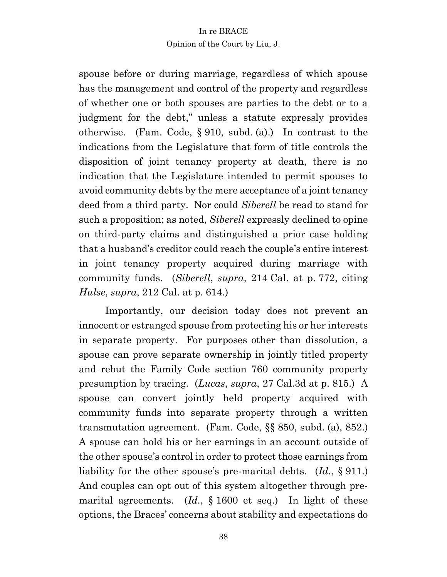spouse before or during marriage, regardless of which spouse has the management and control of the property and regardless of whether one or both spouses are parties to the debt or to a judgment for the debt," unless a statute expressly provides otherwise. (Fam. Code, § 910, subd. (a).) In contrast to the indications from the Legislature that form of title controls the disposition of joint tenancy property at death, there is no indication that the Legislature intended to permit spouses to avoid community debts by the mere acceptance of a joint tenancy deed from a third party. Nor could *Siberell* be read to stand for such a proposition; as noted, *Siberell* expressly declined to opine on third-party claims and distinguished a prior case holding that a husband's creditor could reach the couple's entire interest in joint tenancy property acquired during marriage with community funds. (*Siberell*, *supra*, 214 Cal. at p. 772, citing *Hulse*, *supra*, 212 Cal. at p. 614.)

Importantly, our decision today does not prevent an innocent or estranged spouse from protecting his or her interests in separate property. For purposes other than dissolution, a spouse can prove separate ownership in jointly titled property and rebut the Family Code section 760 community property presumption by tracing. (*Lucas*, *supra*, 27 Cal.3d at p. 815.) A spouse can convert jointly held property acquired with community funds into separate property through a written transmutation agreement. (Fam. Code, §§ 850, subd. (a), 852.) A spouse can hold his or her earnings in an account outside of the other spouse's control in order to protect those earnings from liability for the other spouse's pre-marital debts. (*Id.*, § 911.) And couples can opt out of this system altogether through premarital agreements. (*Id.*, § 1600 et seq.) In light of these options, the Braces' concerns about stability and expectations do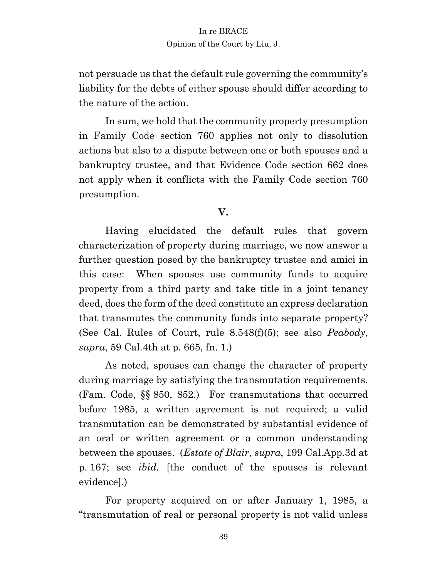not persuade us that the default rule governing the community's liability for the debts of either spouse should differ according to the nature of the action.

In sum, we hold that the community property presumption in Family Code section 760 applies not only to dissolution actions but also to a dispute between one or both spouses and a bankruptcy trustee, and that Evidence Code section 662 does not apply when it conflicts with the Family Code section 760 presumption.

# **V.**

Having elucidated the default rules that govern characterization of property during marriage, we now answer a further question posed by the bankruptcy trustee and amici in this case: When spouses use community funds to acquire property from a third party and take title in a joint tenancy deed, does the form of the deed constitute an express declaration that transmutes the community funds into separate property? (See Cal. Rules of Court, rule 8.548(f)(5); see also *Peabody*, *supra*, 59 Cal.4th at p. 665, fn. 1.)

As noted, spouses can change the character of property during marriage by satisfying the transmutation requirements. (Fam. Code, §§ 850, 852.) For transmutations that occurred before 1985, a written agreement is not required; a valid transmutation can be demonstrated by substantial evidence of an oral or written agreement or a common understanding between the spouses. (*Estate of Blair*, *supra*, 199 Cal.App.3d at p. 167; see *ibid.* [the conduct of the spouses is relevant evidence].)

For property acquired on or after January 1, 1985, a "transmutation of real or personal property is not valid unless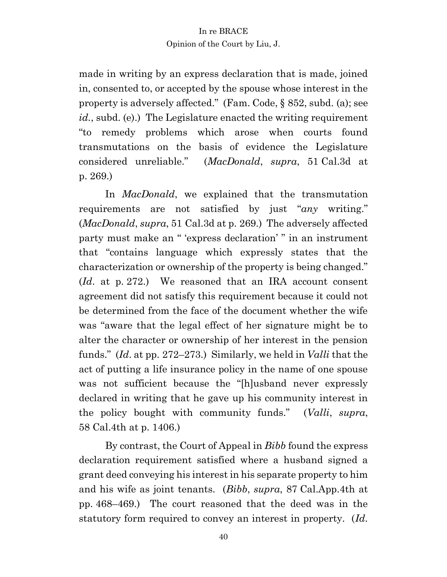made in writing by an express declaration that is made, joined in, consented to, or accepted by the spouse whose interest in the property is adversely affected." (Fam. Code, § 852, subd. (a); see *id.*, subd. (e).) The Legislature enacted the writing requirement "to remedy problems which arose when courts found transmutations on the basis of evidence the Legislature considered unreliable." (*MacDonald*, *supra*, 51 Cal.3d at p. 269.)

In *MacDonald*, we explained that the transmutation requirements are not satisfied by just "*any* writing." (*MacDonald*, *supra*, 51 Cal.3d at p. 269.) The adversely affected party must make an " 'express declaration' " in an instrument that "contains language which expressly states that the characterization or ownership of the property is being changed." (*Id*. at p. 272.) We reasoned that an IRA account consent agreement did not satisfy this requirement because it could not be determined from the face of the document whether the wife was "aware that the legal effect of her signature might be to alter the character or ownership of her interest in the pension funds." (*Id*. at pp. 272–273.) Similarly, we held in *Valli* that the act of putting a life insurance policy in the name of one spouse was not sufficient because the "[h]usband never expressly declared in writing that he gave up his community interest in the policy bought with community funds." (*Valli*, *supra*, 58 Cal.4th at p. 1406.)

By contrast, the Court of Appeal in *Bibb* found the express declaration requirement satisfied where a husband signed a grant deed conveying his interest in his separate property to him and his wife as joint tenants. (*Bibb*, *supra*, 87 Cal.App.4th at pp. 468–469.) The court reasoned that the deed was in the statutory form required to convey an interest in property. (*Id*.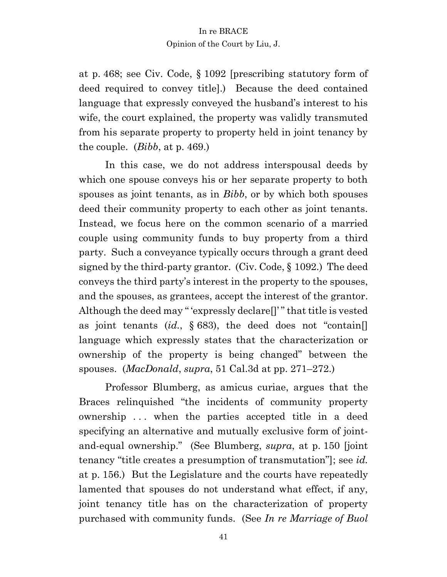at p. 468; see Civ. Code, § 1092 [prescribing statutory form of deed required to convey title].) Because the deed contained language that expressly conveyed the husband's interest to his wife, the court explained, the property was validly transmuted from his separate property to property held in joint tenancy by the couple. (*Bibb*, at p. 469.)

In this case, we do not address interspousal deeds by which one spouse conveys his or her separate property to both spouses as joint tenants, as in *Bibb*, or by which both spouses deed their community property to each other as joint tenants. Instead, we focus here on the common scenario of a married couple using community funds to buy property from a third party. Such a conveyance typically occurs through a grant deed signed by the third-party grantor. (Civ. Code, § 1092.) The deed conveys the third party's interest in the property to the spouses, and the spouses, as grantees, accept the interest of the grantor. Although the deed may " 'expressly declare[]' " that title is vested as joint tenants  $(id, \S 683)$ , the deed does not "contain. language which expressly states that the characterization or ownership of the property is being changed" between the spouses. (*MacDonald*, *supra*, 51 Cal.3d at pp. 271–272.)

Professor Blumberg, as amicus curiae, argues that the Braces relinquished "the incidents of community property ownership . . . when the parties accepted title in a deed specifying an alternative and mutually exclusive form of jointand-equal ownership." (See Blumberg, *supra*, at p. 150 [joint tenancy "title creates a presumption of transmutation"]; see *id.* at p. 156.) But the Legislature and the courts have repeatedly lamented that spouses do not understand what effect, if any, joint tenancy title has on the characterization of property purchased with community funds. (See *In re Marriage of Buol*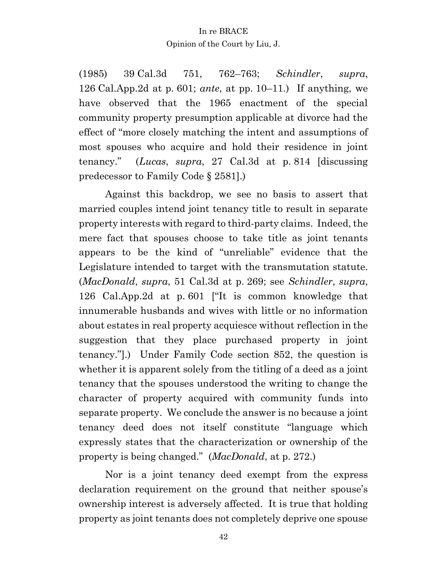(1985) 39 Cal.3d 751, 762–763; *Schindler*, *supra*, 126 Cal.App.2d at p. 601; *ante*, at pp. 10–11.) If anything, we have observed that the 1965 enactment of the special community property presumption applicable at divorce had the effect of "more closely matching the intent and assumptions of most spouses who acquire and hold their residence in joint tenancy." (*Lucas*, *supra*, 27 Cal.3d at p. 814 [discussing predecessor to Family Code § 2581].)

Against this backdrop, we see no basis to assert that married couples intend joint tenancy title to result in separate property interests with regard to third-party claims. Indeed, the mere fact that spouses choose to take title as joint tenants appears to be the kind of "unreliable" evidence that the Legislature intended to target with the transmutation statute. (*MacDonald*, *supra*, 51 Cal.3d at p. 269; see *Schindler*, *supra*, 126 Cal.App.2d at p. 601 ["It is common knowledge that innumerable husbands and wives with little or no information about estates in real property acquiesce without reflection in the suggestion that they place purchased property in joint tenancy."].) Under Family Code section 852, the question is whether it is apparent solely from the titling of a deed as a joint tenancy that the spouses understood the writing to change the character of property acquired with community funds into separate property. We conclude the answer is no because a joint tenancy deed does not itself constitute "language which expressly states that the characterization or ownership of the property is being changed." (*MacDonald*, at p. 272.)

Nor is a joint tenancy deed exempt from the express declaration requirement on the ground that neither spouse's ownership interest is adversely affected. It is true that holding property as joint tenants does not completely deprive one spouse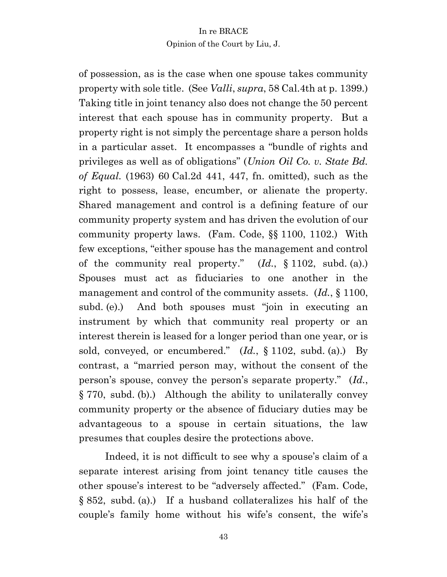of possession, as is the case when one spouse takes community property with sole title. (See *Valli*, *supra*, 58 Cal.4th at p. 1399.) Taking title in joint tenancy also does not change the 50 percent interest that each spouse has in community property. But a property right is not simply the percentage share a person holds in a particular asset. It encompasses a "bundle of rights and privileges as well as of obligations" (*Union Oil Co. v. State Bd. of Equal.* (1963) 60 Cal.2d 441, 447, fn. omitted), such as the right to possess, lease, encumber, or alienate the property. Shared management and control is a defining feature of our community property system and has driven the evolution of our community property laws. (Fam. Code, §§ 1100, 1102.) With few exceptions, "either spouse has the management and control of the community real property." (*Id.*, § 1102, subd. (a).) Spouses must act as fiduciaries to one another in the management and control of the community assets. (*Id.*, § 1100, subd. (e).) And both spouses must "join in executing an instrument by which that community real property or an interest therein is leased for a longer period than one year, or is sold, conveyed, or encumbered." (*Id.*, § 1102, subd. (a).) By contrast, a "married person may, without the consent of the person's spouse, convey the person's separate property." (*Id.*, § 770, subd. (b).) Although the ability to unilaterally convey community property or the absence of fiduciary duties may be advantageous to a spouse in certain situations, the law presumes that couples desire the protections above.

Indeed, it is not difficult to see why a spouse's claim of a separate interest arising from joint tenancy title causes the other spouse's interest to be "adversely affected." (Fam. Code, § 852, subd. (a).) If a husband collateralizes his half of the couple's family home without his wife's consent, the wife's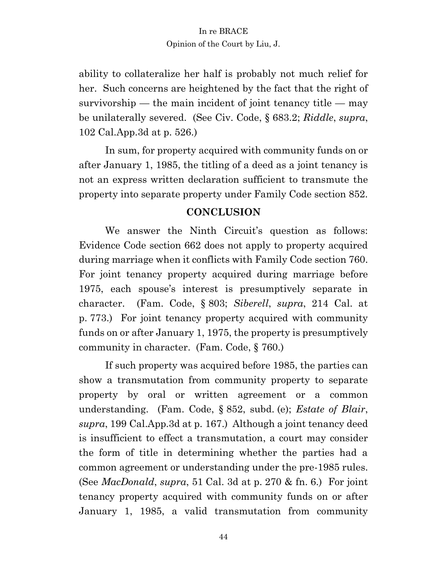ability to collateralize her half is probably not much relief for her. Such concerns are heightened by the fact that the right of survivorship — the main incident of joint tenancy title — may be unilaterally severed. (See Civ. Code, § 683.2; *Riddle*, *supra*, 102 Cal.App.3d at p. 526.)

In sum, for property acquired with community funds on or after January 1, 1985, the titling of a deed as a joint tenancy is not an express written declaration sufficient to transmute the property into separate property under Family Code section 852.

# **CONCLUSION**

We answer the Ninth Circuit's question as follows: Evidence Code section 662 does not apply to property acquired during marriage when it conflicts with Family Code section 760. For joint tenancy property acquired during marriage before 1975, each spouse's interest is presumptively separate in character. (Fam. Code, § 803; *Siberell*, *supra*, 214 Cal. at p. 773.) For joint tenancy property acquired with community funds on or after January 1, 1975, the property is presumptively community in character. (Fam. Code, § 760.)

If such property was acquired before 1985, the parties can show a transmutation from community property to separate property by oral or written agreement or a common understanding. (Fam. Code, § 852, subd. (e); *Estate of Blair*, *supra*, 199 Cal.App.3d at p. 167.) Although a joint tenancy deed is insufficient to effect a transmutation, a court may consider the form of title in determining whether the parties had a common agreement or understanding under the pre-1985 rules. (See *MacDonald*, *supra*, 51 Cal. 3d at p. 270 & fn. 6.) For joint tenancy property acquired with community funds on or after January 1, 1985, a valid transmutation from community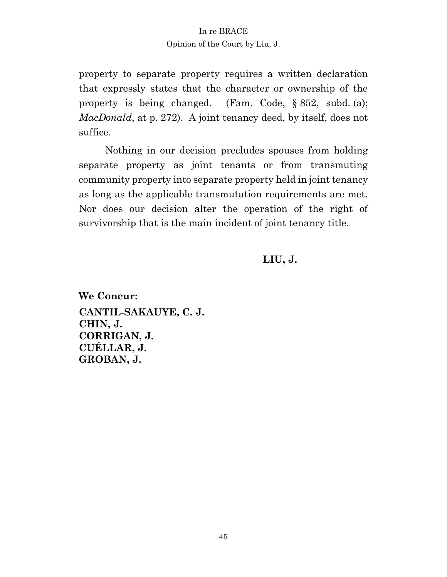# In re BRACE

#### Opinion of the Court by Liu, J.

property to separate property requires a written declaration that expressly states that the character or ownership of the property is being changed. (Fam. Code, § 852, subd. (a); *MacDonald*, at p. 272). A joint tenancy deed, by itself, does not suffice.

Nothing in our decision precludes spouses from holding separate property as joint tenants or from transmuting community property into separate property held in joint tenancy as long as the applicable transmutation requirements are met. Nor does our decision alter the operation of the right of survivorship that is the main incident of joint tenancy title.

# **LIU, J.**

**We Concur: CANTIL-SAKAUYE, C. J. CHIN, J. CORRIGAN, J. CUÉLLAR, J. GROBAN, J.**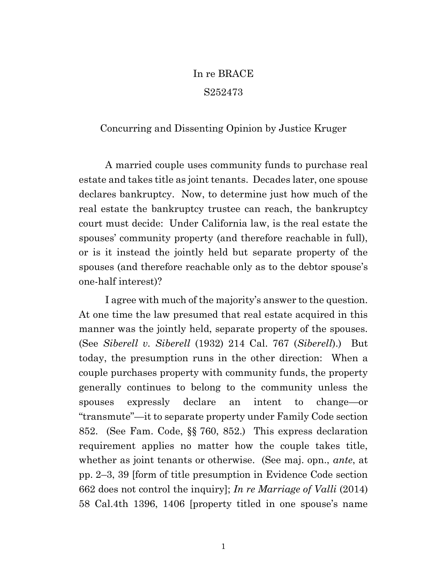# In re BRACE S252473

### Concurring and Dissenting Opinion by Justice Kruger

A married couple uses community funds to purchase real estate and takes title as joint tenants. Decades later, one spouse declares bankruptcy. Now, to determine just how much of the real estate the bankruptcy trustee can reach, the bankruptcy court must decide: Under California law, is the real estate the spouses' community property (and therefore reachable in full), or is it instead the jointly held but separate property of the spouses (and therefore reachable only as to the debtor spouse's one-half interest)?

I agree with much of the majority's answer to the question. At one time the law presumed that real estate acquired in this manner was the jointly held, separate property of the spouses. (See *Siberell v. Siberell* (1932) 214 Cal. 767 (*Siberell*).) But today, the presumption runs in the other direction: When a couple purchases property with community funds, the property generally continues to belong to the community unless the spouses expressly declare an intent to change—or "transmute"—it to separate property under Family Code section 852. (See Fam. Code, §§ 760, 852.) This express declaration requirement applies no matter how the couple takes title, whether as joint tenants or otherwise. (See maj. opn., *ante*, at pp. 2–3, 39 [form of title presumption in Evidence Code section 662 does not control the inquiry]; *In re Marriage of Valli* (2014) 58 Cal.4th 1396, 1406 [property titled in one spouse's name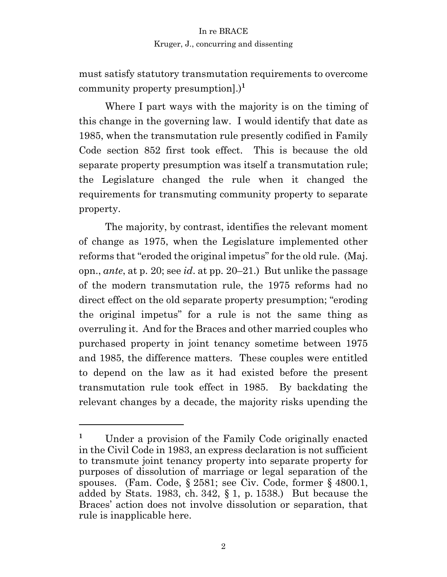must satisfy statutory transmutation requirements to overcome community property presumption].)**<sup>1</sup>**

Where I part ways with the majority is on the timing of this change in the governing law. I would identify that date as 1985, when the transmutation rule presently codified in Family Code section 852 first took effect. This is because the old separate property presumption was itself a transmutation rule; the Legislature changed the rule when it changed the requirements for transmuting community property to separate property.

The majority, by contrast, identifies the relevant moment of change as 1975, when the Legislature implemented other reforms that "eroded the original impetus" for the old rule. (Maj. opn., *ante*, at p. 20; see *id*. at pp. 20–21.) But unlike the passage of the modern transmutation rule, the 1975 reforms had no direct effect on the old separate property presumption; "eroding the original impetus" for a rule is not the same thing as overruling it. And for the Braces and other married couples who purchased property in joint tenancy sometime between 1975 and 1985, the difference matters. These couples were entitled to depend on the law as it had existed before the present transmutation rule took effect in 1985. By backdating the relevant changes by a decade, the majority risks upending the

**<sup>1</sup>** Under a provision of the Family Code originally enacted in the Civil Code in 1983, an express declaration is not sufficient to transmute joint tenancy property into separate property for purposes of dissolution of marriage or legal separation of the spouses. (Fam. Code, § 2581; see Civ. Code, former § 4800.1, added by Stats. 1983, ch. 342, § 1, p. 1538.) But because the Braces' action does not involve dissolution or separation, that rule is inapplicable here.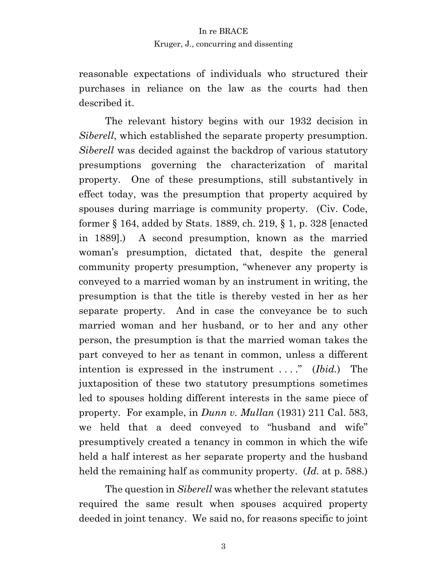reasonable expectations of individuals who structured their purchases in reliance on the law as the courts had then described it.

The relevant history begins with our 1932 decision in *Siberell*, which established the separate property presumption. *Siberell* was decided against the backdrop of various statutory presumptions governing the characterization of marital property. One of these presumptions, still substantively in effect today, was the presumption that property acquired by spouses during marriage is community property. (Civ. Code, former § 164, added by Stats. 1889, ch. 219, § 1, p. 328 [enacted in 1889].) A second presumption, known as the married woman's presumption, dictated that, despite the general community property presumption, "whenever any property is conveyed to a married woman by an instrument in writing, the presumption is that the title is thereby vested in her as her separate property. And in case the conveyance be to such married woman and her husband, or to her and any other person, the presumption is that the married woman takes the part conveyed to her as tenant in common, unless a different intention is expressed in the instrument . . . ." (*Ibid.*) The juxtaposition of these two statutory presumptions sometimes led to spouses holding different interests in the same piece of property. For example, in *Dunn v. Mullan* (1931) 211 Cal. 583, we held that a deed conveyed to "husband and wife" presumptively created a tenancy in common in which the wife held a half interest as her separate property and the husband held the remaining half as community property. (*Id.* at p. 588.)

The question in *Siberell* was whether the relevant statutes required the same result when spouses acquired property deeded in joint tenancy. We said no, for reasons specific to joint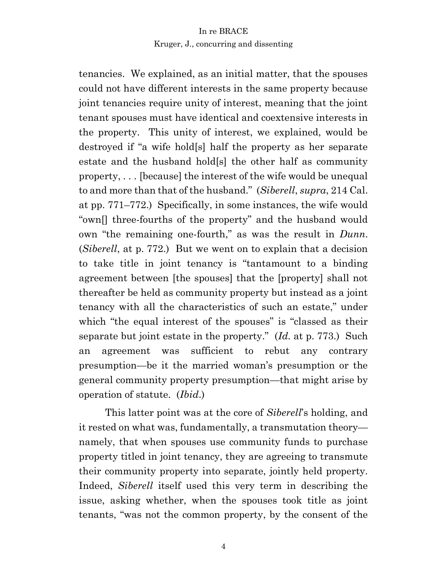tenancies. We explained, as an initial matter, that the spouses could not have different interests in the same property because joint tenancies require unity of interest, meaning that the joint tenant spouses must have identical and coextensive interests in the property. This unity of interest, we explained, would be destroyed if "a wife hold[s] half the property as her separate estate and the husband hold[s] the other half as community property, . . . [because] the interest of the wife would be unequal to and more than that of the husband." (*Siberell*, *supra*, 214 Cal. at pp. 771–772.) Specifically, in some instances, the wife would "own[] three-fourths of the property" and the husband would own "the remaining one-fourth," as was the result in *Dunn*. (*Siberell*, at p. 772.) But we went on to explain that a decision to take title in joint tenancy is "tantamount to a binding agreement between [the spouses] that the [property] shall not thereafter be held as community property but instead as a joint tenancy with all the characteristics of such an estate," under which "the equal interest of the spouses" is "classed as their separate but joint estate in the property." (*Id.* at p. 773.) Such an agreement was sufficient to rebut any contrary presumption—be it the married woman's presumption or the general community property presumption—that might arise by operation of statute. (*Ibid*.)

This latter point was at the core of *Siberell*'s holding, and it rested on what was, fundamentally, a transmutation theory namely, that when spouses use community funds to purchase property titled in joint tenancy, they are agreeing to transmute their community property into separate, jointly held property. Indeed, *Siberell* itself used this very term in describing the issue, asking whether, when the spouses took title as joint tenants, "was not the common property, by the consent of the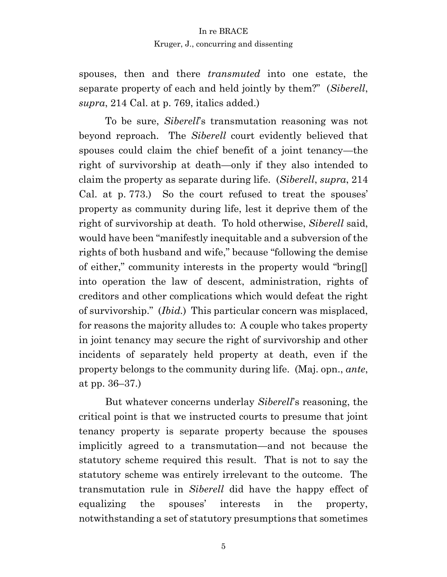spouses, then and there *transmuted* into one estate, the separate property of each and held jointly by them?" (*Siberell*, *supra*, 214 Cal. at p. 769, italics added.)

To be sure, *Siberell*'s transmutation reasoning was not beyond reproach. The *Siberell* court evidently believed that spouses could claim the chief benefit of a joint tenancy—the right of survivorship at death—only if they also intended to claim the property as separate during life. (*Siberell*, *supra*, 214 Cal. at p. 773.) So the court refused to treat the spouses' property as community during life, lest it deprive them of the right of survivorship at death. To hold otherwise, *Siberell* said, would have been "manifestly inequitable and a subversion of the rights of both husband and wife," because "following the demise of either," community interests in the property would "bring[] into operation the law of descent, administration, rights of creditors and other complications which would defeat the right of survivorship." (*Ibid.*) This particular concern was misplaced, for reasons the majority alludes to: A couple who takes property in joint tenancy may secure the right of survivorship and other incidents of separately held property at death, even if the property belongs to the community during life. (Maj. opn., *ante*, at pp. 36–37.)

But whatever concerns underlay *Siberell*'s reasoning, the critical point is that we instructed courts to presume that joint tenancy property is separate property because the spouses implicitly agreed to a transmutation—and not because the statutory scheme required this result. That is not to say the statutory scheme was entirely irrelevant to the outcome. The transmutation rule in *Siberell* did have the happy effect of equalizing the spouses' interests in the property, notwithstanding a set of statutory presumptions that sometimes

5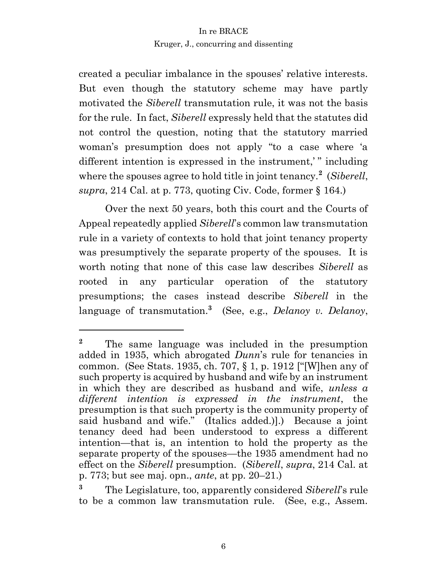created a peculiar imbalance in the spouses' relative interests. But even though the statutory scheme may have partly motivated the *Siberell* transmutation rule, it was not the basis for the rule. In fact, *Siberell* expressly held that the statutes did not control the question, noting that the statutory married woman's presumption does not apply "to a case where 'a different intention is expressed in the instrument,'" including where the spouses agree to hold title in joint tenancy.**<sup>2</sup>** (*Siberell*, *supra*, 214 Cal. at p. 773, quoting Civ. Code, former § 164.)

Over the next 50 years, both this court and the Courts of Appeal repeatedly applied *Siberell*'s common law transmutation rule in a variety of contexts to hold that joint tenancy property was presumptively the separate property of the spouses. It is worth noting that none of this case law describes *Siberell* as rooted in any particular operation of the statutory presumptions; the cases instead describe *Siberell* in the language of transmutation.**<sup>3</sup>** (See, e.g., *Delanoy v. Delanoy*,

**<sup>2</sup>** The same language was included in the presumption added in 1935, which abrogated *Dunn*'s rule for tenancies in common. (See Stats. 1935, ch. 707, § 1, p. 1912 ["[W]hen any of such property is acquired by husband and wife by an instrument in which they are described as husband and wife, *unless a different intention is expressed in the instrument*, the presumption is that such property is the community property of said husband and wife." (Italics added.)].) Because a joint tenancy deed had been understood to express a different intention—that is, an intention to hold the property as the separate property of the spouses—the 1935 amendment had no effect on the *Siberell* presumption. (*Siberell*, *supra*, 214 Cal. at p. 773; but see maj. opn., *ante*, at pp. 20–21.)

**<sup>3</sup>** The Legislature, too, apparently considered *Siberell*'s rule to be a common law transmutation rule. (See, e.g., Assem.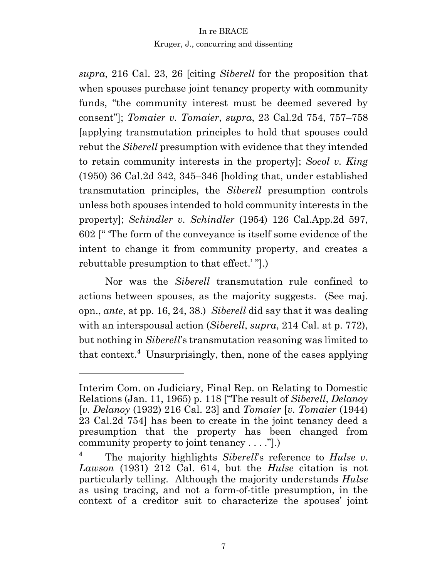*supra*, 216 Cal. 23, 26 [citing *Siberell* for the proposition that when spouses purchase joint tenancy property with community funds, "the community interest must be deemed severed by consent"]; *Tomaier v. Tomaier*, *supra*, 23 Cal.2d 754, 757–758 [applying transmutation principles to hold that spouses could rebut the *Siberell* presumption with evidence that they intended to retain community interests in the property]; *Socol v. King* (1950) 36 Cal.2d 342, 345–346 [holding that, under established transmutation principles, the *Siberell* presumption controls unless both spouses intended to hold community interests in the property]; *Schindler v. Schindler* (1954) 126 Cal.App.2d 597, 602 [" 'The form of the conveyance is itself some evidence of the intent to change it from community property, and creates a rebuttable presumption to that effect.' "].)

Nor was the *Siberell* transmutation rule confined to actions between spouses, as the majority suggests. (See maj. opn., *ante*, at pp. 16, 24, 38.) *Siberell* did say that it was dealing with an interspousal action (*Siberell*, *supra*, 214 Cal. at p. 772), but nothing in *Siberell*'s transmutation reasoning was limited to that context.**<sup>4</sup>** Unsurprisingly, then, none of the cases applying

Interim Com. on Judiciary, Final Rep. on Relating to Domestic Relations (Jan. 11, 1965) p. 118 ["The result of *Siberell*, *Delanoy* [*v. Delanoy* (1932) 216 Cal. 23] and *Tomaier* [*v. Tomaier* (1944) 23 Cal.2d 754] has been to create in the joint tenancy deed a presumption that the property has been changed from community property to joint tenancy . . . ."].)

**<sup>4</sup>** The majority highlights *Siberell*'s reference to *Hulse v. Lawson* (1931) 212 Cal. 614, but the *Hulse* citation is not particularly telling. Although the majority understands *Hulse*  as using tracing, and not a form-of-title presumption, in the context of a creditor suit to characterize the spouses' joint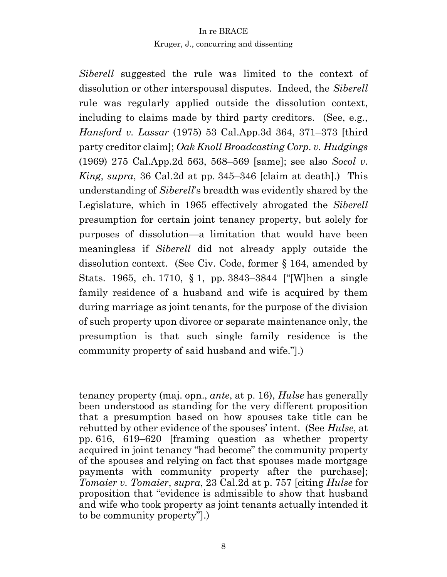*Siberell* suggested the rule was limited to the context of dissolution or other interspousal disputes. Indeed, the *Siberell* rule was regularly applied outside the dissolution context, including to claims made by third party creditors. (See, e.g., *Hansford v. Lassar* (1975) 53 Cal.App.3d 364, 371–373 [third party creditor claim]; *Oak Knoll Broadcasting Corp. v. Hudgings*  (1969) 275 Cal.App.2d 563, 568–569 [same]; see also *Socol v. King*, *supra*, 36 Cal.2d at pp. 345–346 [claim at death].) This understanding of *Siberell*'s breadth was evidently shared by the Legislature, which in 1965 effectively abrogated the *Siberell* presumption for certain joint tenancy property, but solely for purposes of dissolution—a limitation that would have been meaningless if *Siberell* did not already apply outside the dissolution context. (See Civ. Code, former § 164, amended by Stats. 1965, ch. 1710, § 1, pp. 3843–3844 ["[W]hen a single family residence of a husband and wife is acquired by them during marriage as joint tenants, for the purpose of the division of such property upon divorce or separate maintenance only, the presumption is that such single family residence is the community property of said husband and wife."].)

tenancy property (maj. opn., *ante*, at p. 16), *Hulse* has generally been understood as standing for the very different proposition that a presumption based on how spouses take title can be rebutted by other evidence of the spouses' intent. (See *Hulse*, at pp. 616, 619–620 [framing question as whether property acquired in joint tenancy "had become" the community property of the spouses and relying on fact that spouses made mortgage payments with community property after the purchase]; *Tomaier v. Tomaier*, *supra*, 23 Cal.2d at p. 757 [citing *Hulse* for proposition that "evidence is admissible to show that husband and wife who took property as joint tenants actually intended it to be community property"].)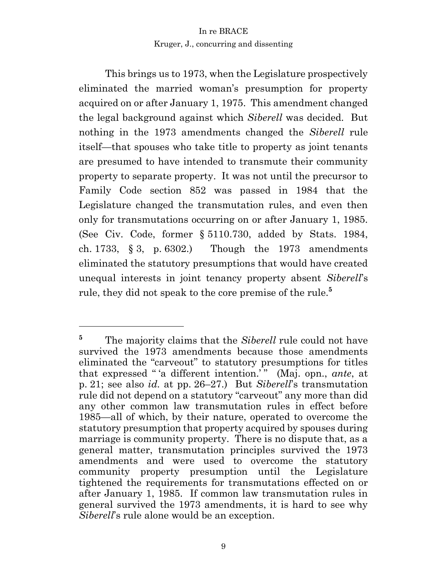This brings us to 1973, when the Legislature prospectively eliminated the married woman's presumption for property acquired on or after January 1, 1975. This amendment changed the legal background against which *Siberell* was decided. But nothing in the 1973 amendments changed the *Siberell* rule itself—that spouses who take title to property as joint tenants are presumed to have intended to transmute their community property to separate property. It was not until the precursor to Family Code section 852 was passed in 1984 that the Legislature changed the transmutation rules, and even then only for transmutations occurring on or after January 1, 1985. (See Civ. Code, former § 5110.730, added by Stats. 1984, ch. 1733, § 3, p. 6302.) Though the 1973 amendments eliminated the statutory presumptions that would have created unequal interests in joint tenancy property absent *Siberell*'s rule, they did not speak to the core premise of the rule.**<sup>5</sup>**

<sup>&</sup>lt;sup>5</sup> The majority claims that the *Siberell* rule could not have survived the 1973 amendments because those amendments eliminated the "carveout" to statutory presumptions for titles that expressed "'a different intention.<sup>'</sup>" (Maj. opn., *ante*, at p. 21; see also *id.* at pp. 26–27.) But *Siberell*'s transmutation rule did not depend on a statutory "carveout" any more than did any other common law transmutation rules in effect before 1985—all of which, by their nature, operated to overcome the statutory presumption that property acquired by spouses during marriage is community property. There is no dispute that, as a general matter, transmutation principles survived the 1973 amendments and were used to overcome the statutory community property presumption until the Legislature tightened the requirements for transmutations effected on or after January 1, 1985. If common law transmutation rules in general survived the 1973 amendments, it is hard to see why *Siberell*'s rule alone would be an exception.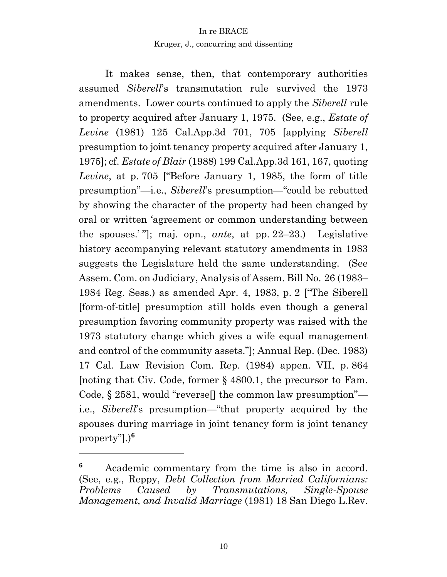It makes sense, then, that contemporary authorities assumed *Siberell*'s transmutation rule survived the 1973 amendments. Lower courts continued to apply the *Siberell* rule to property acquired after January 1, 1975. (See, e.g., *Estate of Levine* (1981) 125 Cal.App.3d 701, 705 [applying *Siberell* presumption to joint tenancy property acquired after January 1, 1975]; cf. *Estate of Blair* (1988) 199 Cal.App.3d 161, 167, quoting *Levine*, at p. 705 ["Before January 1, 1985, the form of title presumption"—i.e., *Siberell*'s presumption—"could be rebutted by showing the character of the property had been changed by oral or written 'agreement or common understanding between the spouses.' "]; maj. opn., *ante*, at pp. 22–23.) Legislative history accompanying relevant statutory amendments in 1983 suggests the Legislature held the same understanding. (See Assem. Com. on Judiciary, Analysis of Assem. Bill No. 26 (1983– 1984 Reg. Sess.) as amended Apr. 4, 1983, p. 2 ["The Siberell [form-of-title] presumption still holds even though a general presumption favoring community property was raised with the 1973 statutory change which gives a wife equal management and control of the community assets."]; Annual Rep. (Dec. 1983) 17 Cal. Law Revision Com. Rep. (1984) appen. VII, p. 864 [noting that Civ. Code, former § 4800.1, the precursor to Fam. Code, § 2581, would "reverse[] the common law presumption" i.e., *Siberell*'s presumption—"that property acquired by the spouses during marriage in joint tenancy form is joint tenancy property"].)**<sup>6</sup>**

**<sup>6</sup>** Academic commentary from the time is also in accord. (See, e.g., Reppy, *Debt Collection from Married Californians: Problems Caused by Transmutations, Single-Spouse Management, and Invalid Marriage* (1981) 18 San Diego L.Rev.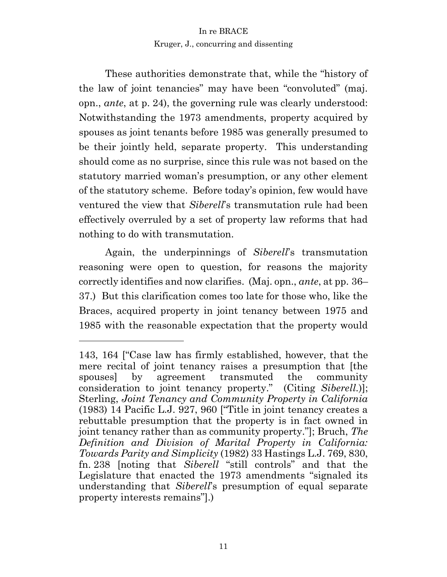These authorities demonstrate that, while the "history of the law of joint tenancies" may have been "convoluted" (maj. opn., *ante*, at p. 24), the governing rule was clearly understood: Notwithstanding the 1973 amendments, property acquired by spouses as joint tenants before 1985 was generally presumed to be their jointly held, separate property. This understanding should come as no surprise, since this rule was not based on the statutory married woman's presumption, or any other element of the statutory scheme. Before today's opinion, few would have ventured the view that *Siberell*'s transmutation rule had been effectively overruled by a set of property law reforms that had nothing to do with transmutation.

Again, the underpinnings of *Siberell*'s transmutation reasoning were open to question, for reasons the majority correctly identifies and now clarifies. (Maj. opn., *ante*, at pp. 36– 37.) But this clarification comes too late for those who, like the Braces, acquired property in joint tenancy between 1975 and 1985 with the reasonable expectation that the property would

<sup>143, 164 [&</sup>quot;Case law has firmly established, however, that the mere recital of joint tenancy raises a presumption that [the spouses] by agreement transmuted the community consideration to joint tenancy property." (Citing *Siberell.*)]; Sterling, *Joint Tenancy and Community Property in California*  (1983) 14 Pacific L.J. 927, 960 ["Title in joint tenancy creates a rebuttable presumption that the property is in fact owned in joint tenancy rather than as community property."]; Bruch, *The Definition and Division of Marital Property in California: Towards Parity and Simplicity* (1982) 33 Hastings L.J. 769, 830, fn. 238 [noting that *Siberell* "still controls" and that the Legislature that enacted the 1973 amendments "signaled its understanding that *Siberell*'s presumption of equal separate property interests remains"].)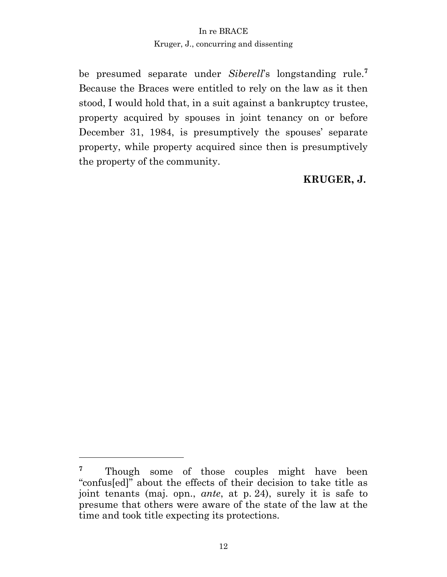be presumed separate under *Siberell*'s longstanding rule.**<sup>7</sup>** Because the Braces were entitled to rely on the law as it then stood, I would hold that, in a suit against a bankruptcy trustee, property acquired by spouses in joint tenancy on or before December 31, 1984, is presumptively the spouses' separate property, while property acquired since then is presumptively the property of the community.

# **KRUGER, J.**

<sup>&</sup>lt;sup>7</sup> Though some of those couples might have been "confus[ed]" about the effects of their decision to take title as joint tenants (maj. opn., *ante*, at p. 24), surely it is safe to presume that others were aware of the state of the law at the time and took title expecting its protections.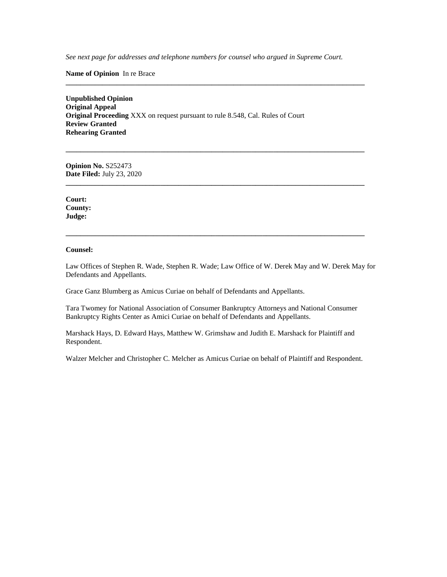*See next page for addresses and telephone numbers for counsel who argued in Supreme Court.*

**\_\_\_\_\_\_\_\_\_\_\_\_\_\_\_\_\_\_\_\_\_\_\_\_\_\_\_\_\_\_\_\_\_\_\_\_\_\_\_\_\_\_\_\_\_\_\_\_\_\_\_\_\_\_\_\_\_\_\_\_\_\_\_\_\_\_\_\_\_\_\_\_\_\_\_\_\_\_\_\_\_\_**

**\_\_\_\_\_\_\_\_\_\_\_\_\_\_\_\_\_\_\_\_\_\_\_\_\_\_\_\_\_\_\_\_\_\_\_\_\_\_\_\_\_\_\_\_\_\_\_\_\_\_\_\_\_\_\_\_\_\_\_\_\_\_\_\_\_\_\_\_\_\_\_\_\_\_\_\_\_\_\_\_\_\_**

**\_\_\_\_\_\_\_\_\_\_\_\_\_\_\_\_\_\_\_\_\_\_\_\_\_\_\_\_\_\_\_\_\_\_\_\_\_\_\_\_\_\_\_\_\_\_\_\_\_\_\_\_\_\_\_\_\_\_\_\_\_\_\_\_\_\_\_\_\_\_\_\_\_\_\_\_\_\_\_\_\_\_**

**\_\_\_\_\_\_\_\_\_\_\_\_\_\_\_\_\_\_\_\_\_\_\_\_\_\_\_\_\_\_\_\_\_\_\_\_\_\_\_\_\_\_\_\_\_\_\_\_\_\_\_\_\_\_\_\_\_\_\_\_\_\_\_\_\_\_\_\_\_\_\_\_\_\_\_\_\_\_\_\_\_\_**

**Name of Opinion** In re Brace

**Unpublished Opinion Original Appeal Original Proceeding** XXX on request pursuant to rule 8.548, Cal. Rules of Court **Review Granted Rehearing Granted**

**Opinion No.** S252473 **Date Filed:** July 23, 2020

**Court: County: Judge:** 

#### **Counsel:**

Law Offices of Stephen R. Wade, Stephen R. Wade; Law Office of W. Derek May and W. Derek May for Defendants and Appellants.

Grace Ganz Blumberg as Amicus Curiae on behalf of Defendants and Appellants.

Tara Twomey for National Association of Consumer Bankruptcy Attorneys and National Consumer Bankruptcy Rights Center as Amici Curiae on behalf of Defendants and Appellants.

Marshack Hays, D. Edward Hays, Matthew W. Grimshaw and Judith E. Marshack for Plaintiff and Respondent.

Walzer Melcher and Christopher C. Melcher as Amicus Curiae on behalf of Plaintiff and Respondent.